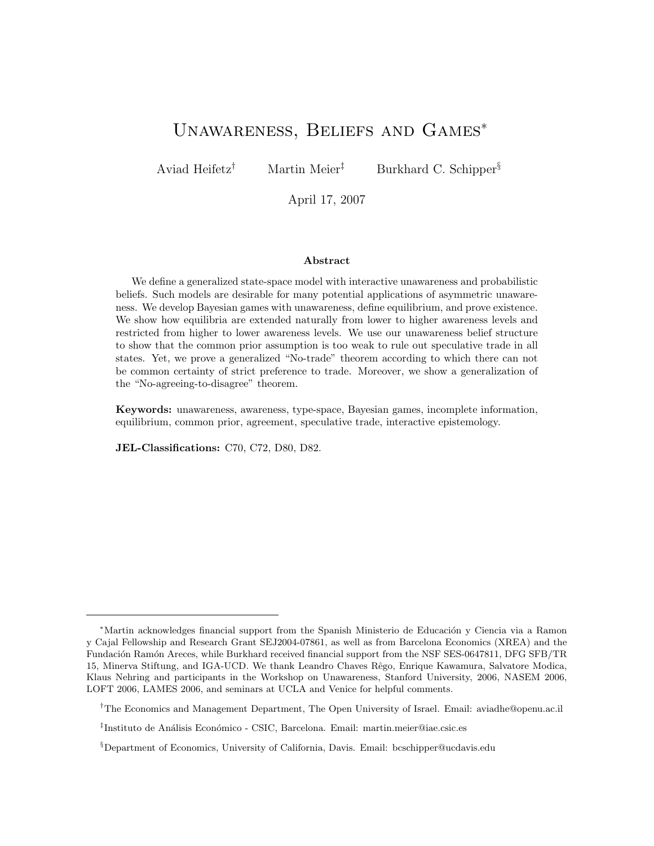# Unawareness, Beliefs and Games<sup>∗</sup>

Aviad Heifetz<sup>†</sup> Martin Meier<sup>‡</sup> Burkhard C. Schipper<sup>§</sup>

April 17, 2007

#### Abstract

We define a generalized state-space model with interactive unawareness and probabilistic beliefs. Such models are desirable for many potential applications of asymmetric unawareness. We develop Bayesian games with unawareness, define equilibrium, and prove existence. We show how equilibria are extended naturally from lower to higher awareness levels and restricted from higher to lower awareness levels. We use our unawareness belief structure to show that the common prior assumption is too weak to rule out speculative trade in all states. Yet, we prove a generalized "No-trade" theorem according to which there can not be common certainty of strict preference to trade. Moreover, we show a generalization of the "No-agreeing-to-disagree" theorem.

Keywords: unawareness, awareness, type-space, Bayesian games, incomplete information, equilibrium, common prior, agreement, speculative trade, interactive epistemology.

JEL-Classifications: C70, C72, D80, D82.

<sup>&</sup>lt;sup>\*</sup>Martin acknowledges financial support from the Spanish Ministerio de Educación y Ciencia via a Ramon y Cajal Fellowship and Research Grant SEJ2004-07861, as well as from Barcelona Economics (XREA) and the Fundación Ramón Areces, while Burkhard received financial support from the NSF SES-0647811, DFG SFB/TR 15, Minerva Stiftung, and IGA-UCD. We thank Leandro Chaves Rêgo, Enrique Kawamura, Salvatore Modica, Klaus Nehring and participants in the Workshop on Unawareness, Stanford University, 2006, NASEM 2006, LOFT 2006, LAMES 2006, and seminars at UCLA and Venice for helpful comments.

<sup>†</sup>The Economics and Management Department, The Open University of Israel. Email: aviadhe@openu.ac.il

<sup>&</sup>lt;sup>‡</sup>Instituto de Análisis Económico - CSIC, Barcelona. Email: martin.meier@iae.csic.es

<sup>§</sup>Department of Economics, University of California, Davis. Email: bcschipper@ucdavis.edu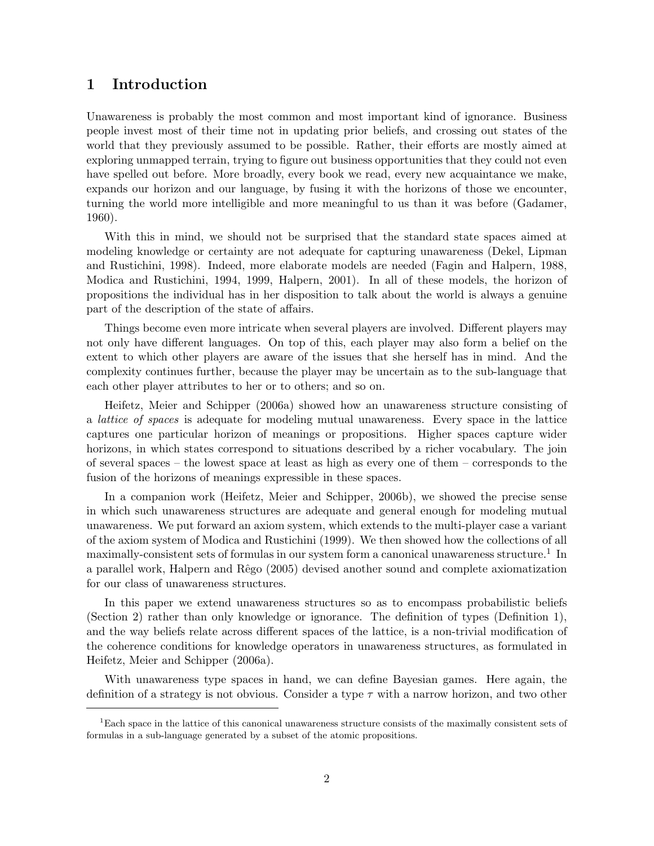## 1 Introduction

Unawareness is probably the most common and most important kind of ignorance. Business people invest most of their time not in updating prior beliefs, and crossing out states of the world that they previously assumed to be possible. Rather, their efforts are mostly aimed at exploring unmapped terrain, trying to figure out business opportunities that they could not even have spelled out before. More broadly, every book we read, every new acquaintance we make, expands our horizon and our language, by fusing it with the horizons of those we encounter, turning the world more intelligible and more meaningful to us than it was before (Gadamer, 1960).

With this in mind, we should not be surprised that the standard state spaces aimed at modeling knowledge or certainty are not adequate for capturing unawareness (Dekel, Lipman and Rustichini, 1998). Indeed, more elaborate models are needed (Fagin and Halpern, 1988, Modica and Rustichini, 1994, 1999, Halpern, 2001). In all of these models, the horizon of propositions the individual has in her disposition to talk about the world is always a genuine part of the description of the state of affairs.

Things become even more intricate when several players are involved. Different players may not only have different languages. On top of this, each player may also form a belief on the extent to which other players are aware of the issues that she herself has in mind. And the complexity continues further, because the player may be uncertain as to the sub-language that each other player attributes to her or to others; and so on.

Heifetz, Meier and Schipper (2006a) showed how an unawareness structure consisting of a lattice of spaces is adequate for modeling mutual unawareness. Every space in the lattice captures one particular horizon of meanings or propositions. Higher spaces capture wider horizons, in which states correspond to situations described by a richer vocabulary. The join of several spaces – the lowest space at least as high as every one of them – corresponds to the fusion of the horizons of meanings expressible in these spaces.

In a companion work (Heifetz, Meier and Schipper, 2006b), we showed the precise sense in which such unawareness structures are adequate and general enough for modeling mutual unawareness. We put forward an axiom system, which extends to the multi-player case a variant of the axiom system of Modica and Rustichini (1999). We then showed how the collections of all maximally-consistent sets of formulas in our system form a canonical unawareness structure.<sup>1</sup> In a parallel work, Halpern and Rˆego (2005) devised another sound and complete axiomatization for our class of unawareness structures.

In this paper we extend unawareness structures so as to encompass probabilistic beliefs (Section 2) rather than only knowledge or ignorance. The definition of types (Definition 1), and the way beliefs relate across different spaces of the lattice, is a non-trivial modification of the coherence conditions for knowledge operators in unawareness structures, as formulated in Heifetz, Meier and Schipper (2006a).

With unawareness type spaces in hand, we can define Bayesian games. Here again, the definition of a strategy is not obvious. Consider a type  $\tau$  with a narrow horizon, and two other

<sup>1</sup>Each space in the lattice of this canonical unawareness structure consists of the maximally consistent sets of formulas in a sub-language generated by a subset of the atomic propositions.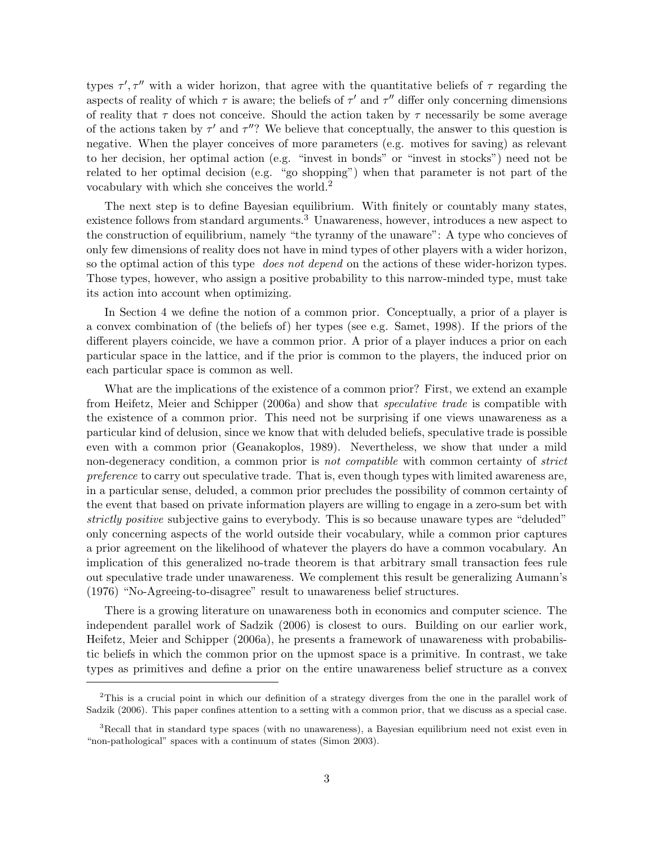types  $\tau', \tau''$  with a wider horizon, that agree with the quantitative beliefs of  $\tau$  regarding the aspects of reality of which  $\tau$  is aware; the beliefs of  $\tau'$  and  $\tau''$  differ only concerning dimensions of reality that  $\tau$  does not conceive. Should the action taken by  $\tau$  necessarily be some average of the actions taken by  $\tau'$  and  $\tau''$ ? We believe that conceptually, the answer to this question is negative. When the player conceives of more parameters (e.g. motives for saving) as relevant to her decision, her optimal action (e.g. "invest in bonds" or "invest in stocks") need not be related to her optimal decision (e.g. "go shopping") when that parameter is not part of the vocabulary with which she conceives the world.<sup>2</sup>

The next step is to define Bayesian equilibrium. With finitely or countably many states, existence follows from standard arguments.<sup>3</sup> Unawareness, however, introduces a new aspect to the construction of equilibrium, namely "the tyranny of the unaware": A type who concieves of only few dimensions of reality does not have in mind types of other players with a wider horizon, so the optimal action of this type *does not depend* on the actions of these wider-horizon types. Those types, however, who assign a positive probability to this narrow-minded type, must take its action into account when optimizing.

In Section 4 we define the notion of a common prior. Conceptually, a prior of a player is a convex combination of (the beliefs of) her types (see e.g. Samet, 1998). If the priors of the different players coincide, we have a common prior. A prior of a player induces a prior on each particular space in the lattice, and if the prior is common to the players, the induced prior on each particular space is common as well.

What are the implications of the existence of a common prior? First, we extend an example from Heifetz, Meier and Schipper (2006a) and show that speculative trade is compatible with the existence of a common prior. This need not be surprising if one views unawareness as a particular kind of delusion, since we know that with deluded beliefs, speculative trade is possible even with a common prior (Geanakoplos, 1989). Nevertheless, we show that under a mild non-degeneracy condition, a common prior is *not compatible* with common certainty of *strict* preference to carry out speculative trade. That is, even though types with limited awareness are, in a particular sense, deluded, a common prior precludes the possibility of common certainty of the event that based on private information players are willing to engage in a zero-sum bet with strictly positive subjective gains to everybody. This is so because unaware types are "deluded" only concerning aspects of the world outside their vocabulary, while a common prior captures a prior agreement on the likelihood of whatever the players do have a common vocabulary. An implication of this generalized no-trade theorem is that arbitrary small transaction fees rule out speculative trade under unawareness. We complement this result be generalizing Aumann's (1976) "No-Agreeing-to-disagree" result to unawareness belief structures.

There is a growing literature on unawareness both in economics and computer science. The independent parallel work of Sadzik (2006) is closest to ours. Building on our earlier work, Heifetz, Meier and Schipper (2006a), he presents a framework of unawareness with probabilistic beliefs in which the common prior on the upmost space is a primitive. In contrast, we take types as primitives and define a prior on the entire unawareness belief structure as a convex

<sup>&</sup>lt;sup>2</sup>This is a crucial point in which our definition of a strategy diverges from the one in the parallel work of Sadzik (2006). This paper confines attention to a setting with a common prior, that we discuss as a special case.

<sup>&</sup>lt;sup>3</sup>Recall that in standard type spaces (with no unawareness), a Bayesian equilibrium need not exist even in "non-pathological" spaces with a continuum of states (Simon 2003).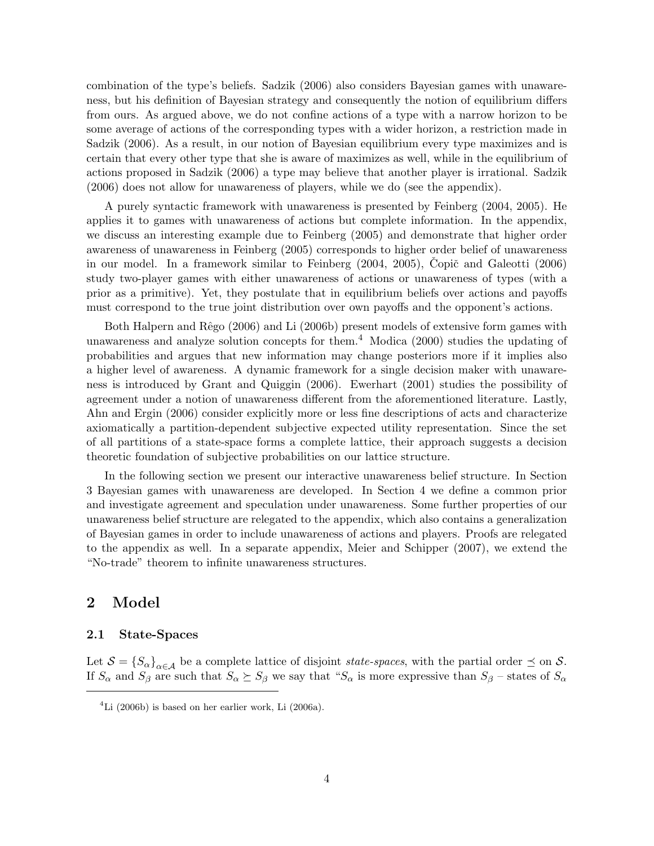combination of the type's beliefs. Sadzik (2006) also considers Bayesian games with unawareness, but his definition of Bayesian strategy and consequently the notion of equilibrium differs from ours. As argued above, we do not confine actions of a type with a narrow horizon to be some average of actions of the corresponding types with a wider horizon, a restriction made in Sadzik (2006). As a result, in our notion of Bayesian equilibrium every type maximizes and is certain that every other type that she is aware of maximizes as well, while in the equilibrium of actions proposed in Sadzik (2006) a type may believe that another player is irrational. Sadzik (2006) does not allow for unawareness of players, while we do (see the appendix).

A purely syntactic framework with unawareness is presented by Feinberg (2004, 2005). He applies it to games with unawareness of actions but complete information. In the appendix, we discuss an interesting example due to Feinberg (2005) and demonstrate that higher order awareness of unawareness in Feinberg (2005) corresponds to higher order belief of unawareness in our model. In a framework similar to Feinberg  $(2004, 2005)$ , Copič and Galeotti  $(2006)$ study two-player games with either unawareness of actions or unawareness of types (with a prior as a primitive). Yet, they postulate that in equilibrium beliefs over actions and payoffs must correspond to the true joint distribution over own payoffs and the opponent's actions.

Both Halpern and Rêgo (2006) and Li (2006b) present models of extensive form games with unawareness and analyze solution concepts for them.<sup>4</sup> Modica  $(2000)$  studies the updating of probabilities and argues that new information may change posteriors more if it implies also a higher level of awareness. A dynamic framework for a single decision maker with unawareness is introduced by Grant and Quiggin (2006). Ewerhart (2001) studies the possibility of agreement under a notion of unawareness different from the aforementioned literature. Lastly, Ahn and Ergin (2006) consider explicitly more or less fine descriptions of acts and characterize axiomatically a partition-dependent subjective expected utility representation. Since the set of all partitions of a state-space forms a complete lattice, their approach suggests a decision theoretic foundation of subjective probabilities on our lattice structure.

In the following section we present our interactive unawareness belief structure. In Section 3 Bayesian games with unawareness are developed. In Section 4 we define a common prior and investigate agreement and speculation under unawareness. Some further properties of our unawareness belief structure are relegated to the appendix, which also contains a generalization of Bayesian games in order to include unawareness of actions and players. Proofs are relegated to the appendix as well. In a separate appendix, Meier and Schipper (2007), we extend the "No-trade" theorem to infinite unawareness structures.

## 2 Model

### 2.1 State-Spaces

Let  $S = \{S_{\alpha}\}_{{\alpha \in \mathcal{A}}}$  be a complete lattice of disjoint *state-spaces*, with the partial order  $\preceq$  on S. If  $S_\alpha$  and  $S_\beta$  are such that  $S_\alpha \succeq S_\beta$  we say that " $S_\alpha$  is more expressive than  $S_\beta$  – states of  $S_\alpha$ 

 ${}^{4}$ Li (2006b) is based on her earlier work, Li (2006a).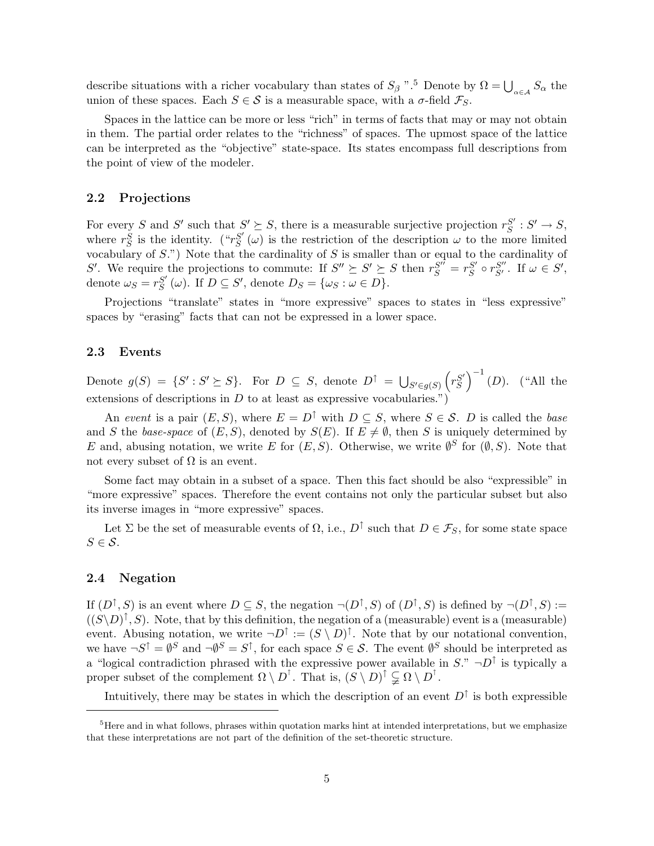describe situations with a richer vocabulary than states of  $S_\beta$  ".<sup>5</sup> Denote by  $\Omega = \bigcup_{\alpha \in A} S_\alpha$  the union of these spaces. Each  $S \in \mathcal{S}$  is a measurable space, with a  $\sigma$ -field  $\mathcal{F}_S$ .

Spaces in the lattice can be more or less "rich" in terms of facts that may or may not obtain in them. The partial order relates to the "richness" of spaces. The upmost space of the lattice can be interpreted as the "objective" state-space. Its states encompass full descriptions from the point of view of the modeler.

### 2.2 Projections

For every S and S' such that  $S' \succeq S$ , there is a measurable surjective projection  $r_S^{S'}$  $S' : S' \to S$ , where  $r_S^S$  is the identity. (" $r_S^{S'}$  $S'_{S}(\omega)$  is the restriction of the description  $\omega$  to the more limited vocabulary of  $S$ .") Note that the cardinality of  $S$  is smaller than or equal to the cardinality of S'. We require the projections to commute: If  $S'' \succeq S' \succeq S$  then  $r_S^{S''} = r_S^{S'}$  $S' \circ r_{S'}^{S''}$ . If  $\omega \in S'$ , denote  $\omega_S = r_S^{S'}$  $S'_{S}(\omega)$ . If  $D \subseteq S'$ , denote  $D_{S} = {\omega_{S} : \omega \in D}$ .

Projections "translate" states in "more expressive" spaces to states in "less expressive" spaces by "erasing" facts that can not be expressed in a lower space.

### 2.3 Events

Denote  $g(S) = \{S' : S' \succeq S\}$ . For  $D \subseteq S$ , denote  $D^{\uparrow} = \bigcup_{S' \in g(S)} \left( r_S^{S'} \right)$  $S' \choose S$ <sup>-1</sup> (D). ("All the extensions of descriptions in  $D$  to at least as expressive vocabularies.")

An event is a pair  $(E, S)$ , where  $E = D^{\uparrow}$  with  $D \subseteq S$ , where  $S \in \mathcal{S}$ . D is called the base and S the base-space of  $(E, S)$ , denoted by  $S(E)$ . If  $E \neq \emptyset$ , then S is uniquely determined by E and, abusing notation, we write E for  $(E, S)$ . Otherwise, we write  $\emptyset^S$  for  $(\emptyset, S)$ . Note that not every subset of  $\Omega$  is an event.

Some fact may obtain in a subset of a space. Then this fact should be also "expressible" in "more expressive" spaces. Therefore the event contains not only the particular subset but also its inverse images in "more expressive" spaces.

Let  $\Sigma$  be the set of measurable events of  $\Omega$ , i.e.,  $D^{\uparrow}$  such that  $D \in \mathcal{F}_S$ , for some state space  $S \in \mathcal{S}$ .

### 2.4 Negation

If  $(D^{\uparrow}, S)$  is an event where  $D \subseteq S$ , the negation  $\neg(D^{\uparrow}, S)$  of  $(D^{\uparrow}, S)$  is defined by  $\neg(D^{\uparrow}, S) :=$  $((S \ D)^{\uparrow}, S)$ . Note, that by this definition, the negation of a (measurable) event is a (measurable) event. Abusing notation, we write  $\neg D^{\uparrow} := (S \setminus D)^{\uparrow}$ . Note that by our notational convention, we have  $\neg S^{\uparrow} = \emptyset^S$  and  $\neg \emptyset^S = S^{\uparrow}$ , for each space  $S \in \mathcal{S}$ . The event  $\emptyset^S$  should be interpreted as a "logical contradiction phrased with the expressive power available in  $S$ ."  $\neg D^{\uparrow}$  is typically a proper subset of the complement  $\Omega \setminus D^{\dagger}$ . That is,  $(S \setminus D)^{\dagger} \subsetneq \Omega \setminus D^{\dagger}$ .

Intuitively, there may be states in which the description of an event  $D^{\uparrow}$  is both expressible

 ${}^{5}$ Here and in what follows, phrases within quotation marks hint at intended interpretations, but we emphasize that these interpretations are not part of the definition of the set-theoretic structure.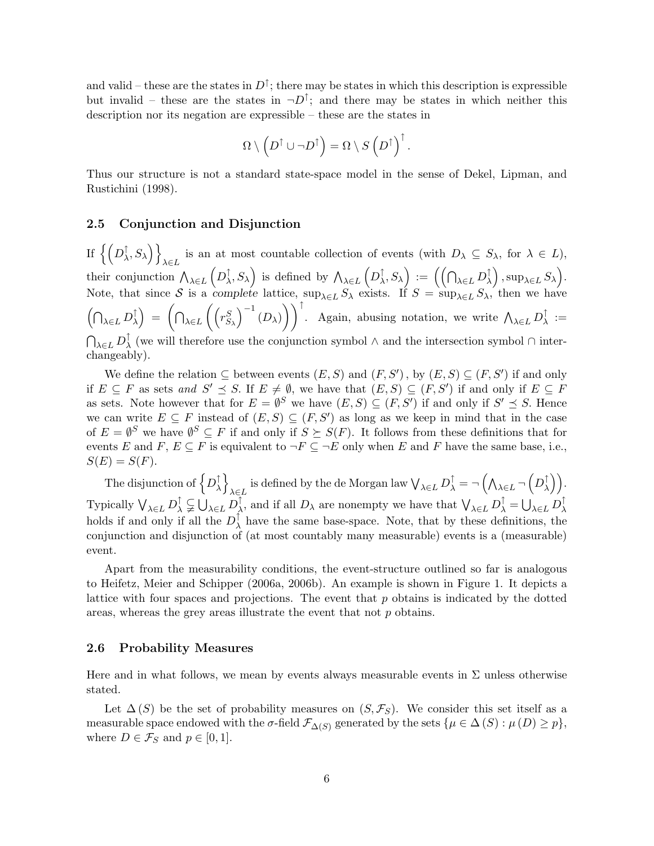and valid – these are the states in  $D^{\uparrow}$ ; there may be states in which this description is expressible but invalid – these are the states in  $\neg D^{\uparrow}$ ; and there may be states in which neither this description nor its negation are expressible – these are the states in

$$
\Omega \setminus \left(D^{\uparrow} \cup \neg D^{\uparrow}\right) = \Omega \setminus S\left(D^{\uparrow}\right)^{\uparrow}.
$$

Thus our structure is not a standard state-space model in the sense of Dekel, Lipman, and Rustichini (1998).

### 2.5 Conjunction and Disjunction

If  $\big\{ \big(D^\uparrow_\lambda$  $\left\{\zeta,\right\}_{\lambda \in I}$  is an at most countable collection of events (with  $D_{\lambda} \subseteq S_{\lambda}$ , for  $\lambda \in L$ ),  $\lambda \in L$ their conjunction  $\bigwedge_{\lambda \in L} \left( D_{\lambda}^{\uparrow} \right)$  $\left(\bigwedge^{\uparrow},S_{\lambda}\right)$  is defined by  $\bigwedge_{\lambda\in L}\left(D_{\lambda}^{\uparrow}\right)$  $\left(\bigcap_{\lambda \in L} D^\uparrow_\lambda\right)\ :=\ \Big(\Big(\bigcap_{\lambda \in L} D^\uparrow_\lambda\Big)$  $\left(\begin{smallmatrix} \uparrow \cr \lambda \end{smallmatrix}\right),\sup_{\lambda \in L} S_\lambda\Big).$ Note, that since S is a complete lattice,  $\sup_{\lambda \in L} S_{\lambda}$  exists. If  $S = \sup_{\lambda \in L} S_{\lambda}$ , then we have  $\left(\bigcap_{\lambda \in L} D^\uparrow_\lambda\right)$  $\left(\bigcap_{\lambda \in L} \left(\left(r_{S_{\lambda}}^{S}\right)^{-1} (D_{\lambda})\right)\right)$ )  $\int$ . Again, abusing notation, we write  $\bigwedge_{\lambda \in L} D_{\lambda}^{\uparrow}$  $\frac{1}{\lambda} :=$  $\bigcap_{\lambda \in L} D^\uparrow_\lambda$  $\lambda$  (we will therefore use the conjunction symbol ∧ and the intersection symbol ∩ interchangeably).

We define the relation  $\subseteq$  between events  $(E, S)$  and  $(F, S')$ , by  $(E, S) \subseteq (F, S')$  if and only if  $E \subseteq F$  as sets and  $S' \preceq S$ . If  $E \neq \emptyset$ , we have that  $(E, S) \subseteq (F, S')$  if and only if  $E \subseteq F$ as sets. Note however that for  $E = \emptyset^S$  we have  $(E, S) \subseteq (F, S')$  if and only if  $S' \preceq S$ . Hence we can write  $E \subseteq F$  instead of  $(E, S) \subseteq (F, S')$  as long as we keep in mind that in the case of  $E = \emptyset^S$  we have  $\emptyset^S \subseteq F$  if and only if  $S \succeq S(F)$ . It follows from these definitions that for events E and F,  $E \subseteq F$  is equivalent to  $\neg F \subseteq \neg E$  only when E and F have the same base, i.e.,  $S(E) = S(F).$ 

The disjunction of  $\left\{D^{\uparrow}_{\lambda}\right\}$  $\left\{ \begin{array}{c} \uparrow \\ \lambda \end{array} \right\}$  $\lambda \in L$  is defined by the de Morgan law  $\bigvee_{\lambda \in L} D^\uparrow_\lambda = \neg \left( \bigwedge_{\lambda \in L} \neg \left( D^\uparrow_\lambda \right) \right)$  $\begin{pmatrix} 1 \\ \lambda \end{pmatrix}$ Typically  $\bigvee_{\lambda \in L} D^\uparrow_{\lambda} \subsetneq \bigcup_{\lambda \in L} D^\uparrow_{\lambda}$  $\bigwedge^{\uparrow}$ , and if all  $D_{\lambda}$  are nonempty we have that  $\bigvee_{\lambda \in L} D_{\lambda}^{\uparrow} = \bigcup_{\lambda \in L} D_{\lambda}^{\uparrow}$ λ holds if and only if all the  $D_{\lambda}^{\uparrow}$  $\lambda$  have the same base-space. Note, that by these definitions, the conjunction and disjunction of (at most countably many measurable) events is a (measurable) event.

Apart from the measurability conditions, the event-structure outlined so far is analogous to Heifetz, Meier and Schipper (2006a, 2006b). An example is shown in Figure 1. It depicts a lattice with four spaces and projections. The event that  $p$  obtains is indicated by the dotted areas, whereas the grey areas illustrate the event that not p obtains.

#### 2.6 Probability Measures

Here and in what follows, we mean by events always measurable events in  $\Sigma$  unless otherwise stated.

Let  $\Delta(S)$  be the set of probability measures on  $(S, \mathcal{F}_S)$ . We consider this set itself as a measurable space endowed with the  $\sigma$ -field  $\mathcal{F}_{\Delta(S)}$  generated by the sets  $\{\mu \in \Delta(S) : \mu(D) \geq p\},\$ where  $D \in \mathcal{F}_S$  and  $p \in [0,1]$ .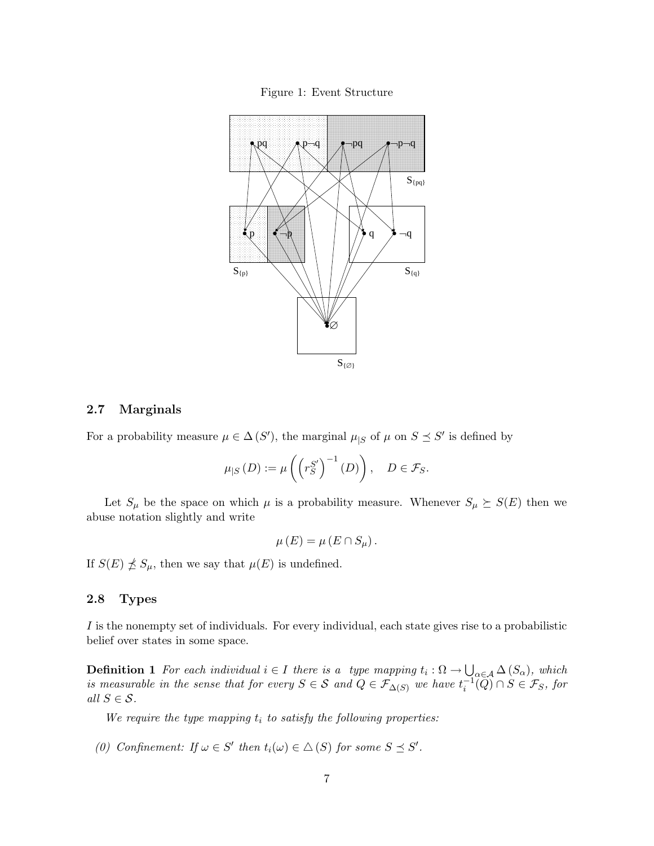



### 2.7 Marginals

For a probability measure  $\mu \in \Delta(S')$ , the marginal  $\mu_{|S}$  of  $\mu$  on  $S \preceq S'$  is defined by

$$
\mu_{|S}\left(D\right) := \mu\left(\left(r_S^{S'}\right)^{-1}\left(D\right)\right), \quad D \in \mathcal{F}_S.
$$

Let  $S_{\mu}$  be the space on which  $\mu$  is a probability measure. Whenever  $S_{\mu} \succeq S(E)$  then we abuse notation slightly and write

$$
\mu(E) = \mu(E \cap S_{\mu}).
$$

If  $S(E) \npreceq S_{\mu}$ , then we say that  $\mu(E)$  is undefined.

### 2.8 Types

I is the nonempty set of individuals. For every individual, each state gives rise to a probabilistic belief over states in some space.

**Definition 1** For each individual  $i \in I$  there is a type mapping  $t_i : \Omega \to \bigcup_{\alpha \in A} \Delta(S_\alpha)$ , which is measurable in the sense that for every  $S \in S$  and  $Q \in \mathcal{F}_{\Delta(S)}$  we have  $t_i^{-1}(\widetilde{Q}) \cap S \in \mathcal{F}_S$ , for all  $S \in \mathcal{S}$ .

We require the type mapping  $t_i$  to satisfy the following properties:

(0) Confinement: If  $\omega \in S'$  then  $t_i(\omega) \in \Delta(S)$  for some  $S \preceq S'$ .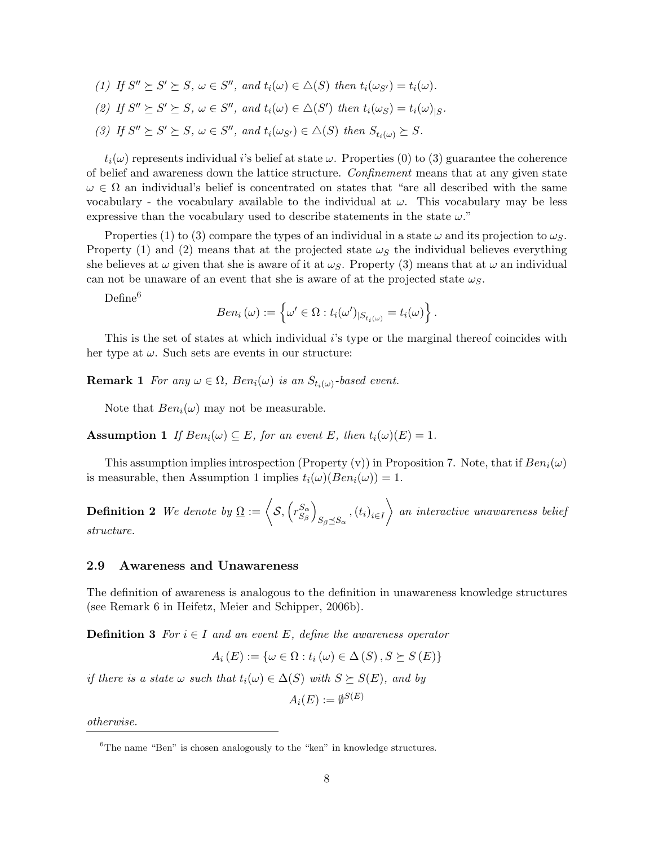(1) If  $S'' \succeq S' \succeq S$ ,  $\omega \in S''$ , and  $t_i(\omega) \in \Delta(S)$  then  $t_i(\omega_{S'}) = t_i(\omega)$ . (2) If  $S'' \succeq S' \succeq S$ ,  $\omega \in S''$ , and  $t_i(\omega) \in \Delta(S')$  then  $t_i(\omega_S) = t_i(\omega)_{|S}$ . (3) If  $S'' \succeq S' \succeq S$ ,  $\omega \in S''$ , and  $t_i(\omega_{S'}) \in \triangle(S)$  then  $S_{t_i(\omega)} \succeq S$ .

 $t_i(\omega)$  represents individual *i*'s belief at state  $\omega$ . Properties (0) to (3) guarantee the coherence of belief and awareness down the lattice structure. Confinement means that at any given state  $\omega \in \Omega$  an individual's belief is concentrated on states that "are all described with the same vocabulary - the vocabulary available to the individual at  $\omega$ . This vocabulary may be less expressive than the vocabulary used to describe statements in the state  $\omega$ ."

Properties (1) to (3) compare the types of an individual in a state  $\omega$  and its projection to  $\omega_{\mathcal{S}}$ . Property (1) and (2) means that at the projected state  $\omega<sub>S</sub>$  the individual believes everything she believes at  $\omega$  given that she is aware of it at  $\omega_{\mathcal{S}}$ . Property (3) means that at  $\omega$  an individual can not be unaware of an event that she is aware of at the projected state  $\omega_{\mathcal{S}}$ .

Define<sup>6</sup>

$$
Ben_i(\omega) := \left\{ \omega' \in \Omega : t_i(\omega')_{|S_{t_i(\omega)}} = t_i(\omega) \right\}.
$$

This is the set of states at which individual i's type or the marginal thereof coincides with her type at  $\omega$ . Such sets are events in our structure:

**Remark 1** For any  $\omega \in \Omega$ ,  $Ben_i(\omega)$  is an  $S_{t_i(\omega)}$ -based event.

Note that  $Ben_i(\omega)$  may not be measurable.

**Assumption 1** If  $Ben_i(\omega) \subseteq E$ , for an event E, then  $t_i(\omega)(E) = 1$ .

This assumption implies introspection (Property (v)) in Proposition 7. Note, that if  $Ben_i(\omega)$ is measurable, then Assumption 1 implies  $t_i(\omega)(Ben_i(\omega)) = 1$ .

**Definition 2** We denote by  $\Omega := \langle S, (rS^{\alpha}_{S}) \rangle$  $S_{\beta}$  $\setminus$  $_{S_{\beta}\preceq S_{\alpha}}$ ,  $(t_i)_{i\in I}$  $\big\}$  an interactive unawareness belief structure.

### 2.9 Awareness and Unawareness

The definition of awareness is analogous to the definition in unawareness knowledge structures (see Remark 6 in Heifetz, Meier and Schipper, 2006b).

**Definition 3** For  $i \in I$  and an event E, define the awareness operator

$$
A_{i}(E) := \{ \omega \in \Omega : t_{i}(\omega) \in \Delta(S), S \succeq S(E) \}
$$

if there is a state  $\omega$  such that  $t_i(\omega) \in \Delta(S)$  with  $S \succeq S(E)$ , and by

 $A_i(E):=\emptyset^{S(E)}$ 

otherwise.

 ${}^{6}$ The name "Ben" is chosen analogously to the "ken" in knowledge structures.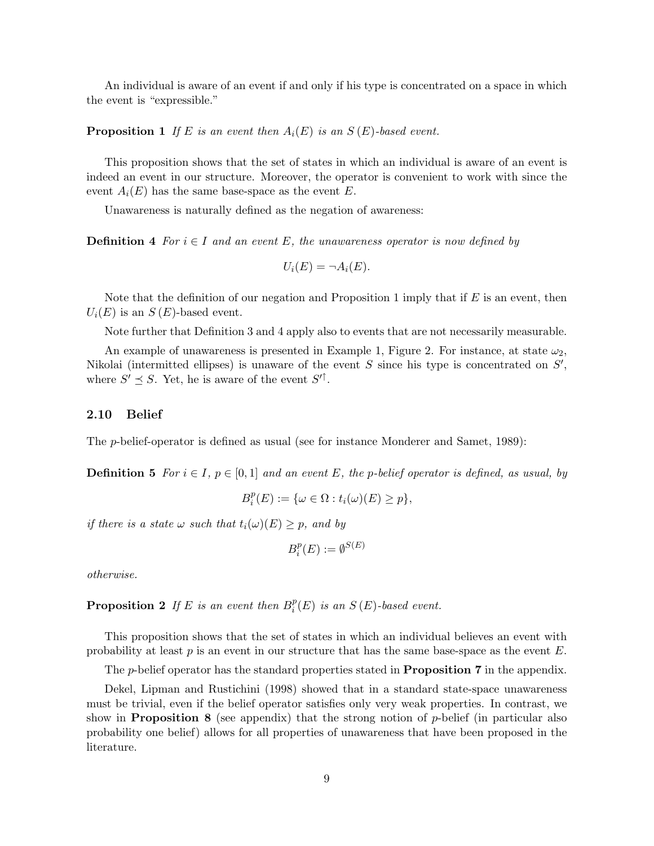An individual is aware of an event if and only if his type is concentrated on a space in which the event is "expressible."

**Proposition 1** If E is an event then  $A_i(E)$  is an  $S(E)$ -based event.

This proposition shows that the set of states in which an individual is aware of an event is indeed an event in our structure. Moreover, the operator is convenient to work with since the event  $A_i(E)$  has the same base-space as the event E.

Unawareness is naturally defined as the negation of awareness:

**Definition 4** For  $i \in I$  and an event E, the unawareness operator is now defined by

$$
U_i(E) = \neg A_i(E).
$$

Note that the definition of our negation and Proposition 1 imply that if  $E$  is an event, then  $U_i(E)$  is an  $S(E)$ -based event.

Note further that Definition 3 and 4 apply also to events that are not necessarily measurable.

An example of unawareness is presented in Example 1, Figure 2. For instance, at state  $\omega_2$ , Nikolai (intermitted ellipses) is unaware of the event  $S$  since his type is concentrated on  $S'$ , where  $S' \preceq S$ . Yet, he is aware of the event  $S'^{\uparrow}$ .

### 2.10 Belief

The p-belief-operator is defined as usual (see for instance Monderer and Samet, 1989):

**Definition 5** For  $i \in I$ ,  $p \in [0,1]$  and an event E, the p-belief operator is defined, as usual, by

$$
B_i^p(E) := \{ \omega \in \Omega : t_i(\omega)(E) \ge p \},\
$$

if there is a state  $\omega$  such that  $t_i(\omega)(E) \geq p$ , and by

$$
B_i^p(E):=\emptyset^{S(E)}
$$

otherwise.

**Proposition 2** If E is an event then  $B_i^p$  $i<sup>p</sup>(E)$  is an  $S(E)$ -based event.

This proposition shows that the set of states in which an individual believes an event with probability at least  $p$  is an event in our structure that has the same base-space as the event  $E$ .

The *p*-belief operator has the standard properties stated in **Proposition 7** in the appendix.

Dekel, Lipman and Rustichini (1998) showed that in a standard state-space unawareness must be trivial, even if the belief operator satisfies only very weak properties. In contrast, we show in **Proposition 8** (see appendix) that the strong notion of p-belief (in particular also probability one belief) allows for all properties of unawareness that have been proposed in the literature.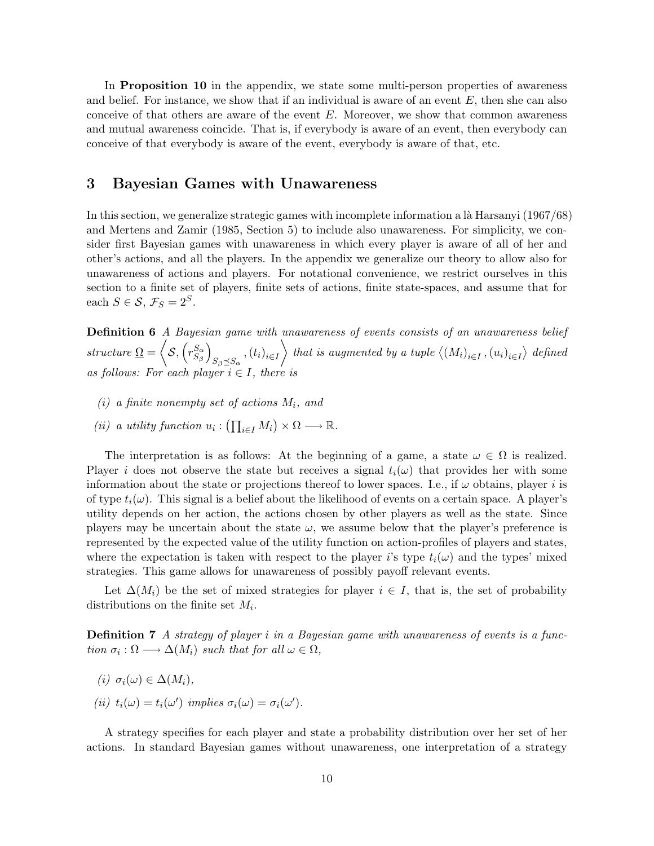In **Proposition 10** in the appendix, we state some multi-person properties of awareness and belief. For instance, we show that if an individual is aware of an event  $E$ , then she can also conceive of that others are aware of the event  $E$ . Moreover, we show that common awareness and mutual awareness coincide. That is, if everybody is aware of an event, then everybody can conceive of that everybody is aware of the event, everybody is aware of that, etc.

## 3 Bayesian Games with Unawareness

In this section, we generalize strategic games with incomplete information a  $\alpha$  Harsanyi (1967/68) and Mertens and Zamir (1985, Section 5) to include also unawareness. For simplicity, we consider first Bayesian games with unawareness in which every player is aware of all of her and other's actions, and all the players. In the appendix we generalize our theory to allow also for unawareness of actions and players. For notational convenience, we restrict ourselves in this section to a finite set of players, finite sets of actions, finite state-spaces, and assume that for each  $S \in \mathcal{S}, \mathcal{F}_S = 2^S$ .

Definition 6 A Bayesian game with unawareness of events consists of an unawareness belief structure  $\Omega = \langle S, (r_{S_{c}}^{S_{\alpha}})$  $S_{\beta}$  $\setminus$  $S_{\beta \preceq S_{\alpha}}$ ,  $(t_i)_{i \in I}$  $\Big\backslash$  that is augmented by a tuple  $\big\langle (M_i)_{i\in I}, (u_i)_{i\in I}\big\rangle$  defined as follows: For each player  $i \in I$ , there is

- (i) a finite nonempty set of actions  $M_i$ , and
- (ii) a utility function  $u_i: (\prod_{i \in I} M_i) \times \Omega \longrightarrow \mathbb{R}$ .

The interpretation is as follows: At the beginning of a game, a state  $\omega \in \Omega$  is realized. Player i does not observe the state but receives a signal  $t_i(\omega)$  that provides her with some information about the state or projections thereof to lower spaces. I.e., if  $\omega$  obtains, player i is of type  $t_i(\omega)$ . This signal is a belief about the likelihood of events on a certain space. A player's utility depends on her action, the actions chosen by other players as well as the state. Since players may be uncertain about the state  $\omega$ , we assume below that the player's preference is represented by the expected value of the utility function on action-profiles of players and states, where the expectation is taken with respect to the player is type  $t_i(\omega)$  and the types' mixed strategies. This game allows for unawareness of possibly payoff relevant events.

Let  $\Delta(M_i)$  be the set of mixed strategies for player  $i \in I$ , that is, the set of probability distributions on the finite set  $M_i$ .

Definition 7 A strategy of player i in a Bayesian game with unawareness of events is a function  $\sigma_i : \Omega \longrightarrow \Delta(M_i)$  such that for all  $\omega \in \Omega$ ,

- (i)  $\sigma_i(\omega) \in \Delta(M_i)$ ,
- (ii)  $t_i(\omega) = t_i(\omega')$  implies  $\sigma_i(\omega) = \sigma_i(\omega')$ .

A strategy specifies for each player and state a probability distribution over her set of her actions. In standard Bayesian games without unawareness, one interpretation of a strategy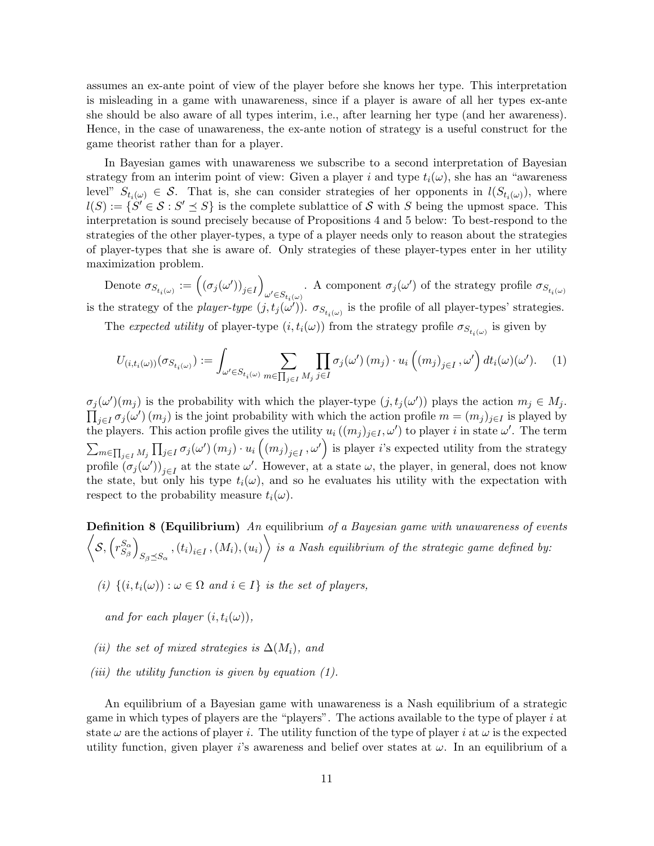assumes an ex-ante point of view of the player before she knows her type. This interpretation is misleading in a game with unawareness, since if a player is aware of all her types ex-ante she should be also aware of all types interim, i.e., after learning her type (and her awareness). Hence, in the case of unawareness, the ex-ante notion of strategy is a useful construct for the game theorist rather than for a player.

In Bayesian games with unawareness we subscribe to a second interpretation of Bayesian strategy from an interim point of view: Given a player i and type  $t_i(\omega)$ , she has an "awareness" level"  $S_{t_i(\omega)} \in \mathcal{S}$ . That is, she can consider strategies of her opponents in  $l(S_{t_i(\omega)})$ , where  $l(S) := \{ S' \in S : S' \preceq S \}$  is the complete sublattice of S with S being the upmost space. This interpretation is sound precisely because of Propositions 4 and 5 below: To best-respond to the strategies of the other player-types, a type of a player needs only to reason about the strategies of player-types that she is aware of. Only strategies of these player-types enter in her utility maximization problem.

Denote  $\sigma_{S_{t_i(\omega)}} := ((\sigma_j(\omega'))_{j \in I})$ . A component  $\sigma_j(\omega')$  of the strategy profile  $\sigma_{S_{t_i(\omega)}}$  . is the strategy of the *player-type*  $(j, t_j(\omega'))$ .  $\sigma_{S_{t_i(\omega)}}$  is the profile of all player-types' strategies.

The expected utility of player-type  $(i, t_i(\omega))$  from the strategy profile  $\sigma_{S_{t_i(\omega)}}$  is given by

$$
U_{(i,t_i(\omega))}(\sigma_{S_{t_i(\omega)}}) := \int_{\omega' \in S_{t_i(\omega)}} \sum_{m \in \prod_{j \in I} M_j} \prod_{j \in I} \sigma_j(\omega') \left( m_j \right) \cdot u_i \left( \left( m_j \right)_{j \in I}, \omega' \right) dt_i(\omega)(\omega'). \tag{1}
$$

 $\sigma_j(\omega)(m_j)$  is the probability with which the player-type  $(j, t_j(\omega'))$  plays the action  $m_j \in M_j$ .  $\prod_{j\in I}\sigma_j(\omega')\,(m_j)$  is the joint probability with which the action profile  $m=(m_j)_{j\in I}$  is played by the players. This action profile gives the utility  $u_i((m_j)_{j\in I}, \omega')$  to player i in state  $\omega'$ . The term  $\sum_{m\in\prod_{j\in I}M_j}\prod_{j\in I}\sigma_j(\omega')\left(m_j\right)\cdot u_i\left(\left(m_j\right)_{j\in I},\omega'\right)$  is player *i*'s expected utility from the strategy profile  $(\sigma_j(\omega'))_{j\in I}$  at the state  $\omega'$ . However, at a state  $\omega$ , the player, in general, does not know the state, but only his type  $t_i(\omega)$ , and so he evaluates his utility with the expectation with respect to the probability measure  $t_i(\omega)$ .

**Definition 8 (Equilibrium)** An equilibrium of a Bayesian game with unawareness of events  $\sqrt{\mathcal{S}, \left(r_{S_\alpha}^{S_\alpha}\right)}$  $S_{\boldsymbol{\beta}}$  $\setminus$  $\left\{S_\beta \preceq S_\alpha, (t_i)_{i \in I}, (M_i), (u_i) \right\}$  is a Nash equilibrium of the strategic game defined by:

(i)  $\{(i, t_i(\omega)) : \omega \in \Omega \text{ and } i \in I\}$  is the set of players,

and for each player  $(i, t_i(\omega))$ ,

- (ii) the set of mixed strategies is  $\Delta(M_i)$ , and
- (*iii*) the utility function is given by equation  $(1)$ .

An equilibrium of a Bayesian game with unawareness is a Nash equilibrium of a strategic game in which types of players are the "players". The actions available to the type of player  $i$  at state  $\omega$  are the actions of player i. The utility function of the type of player i at  $\omega$  is the expected utility function, given player i's awareness and belief over states at  $\omega$ . In an equilibrium of a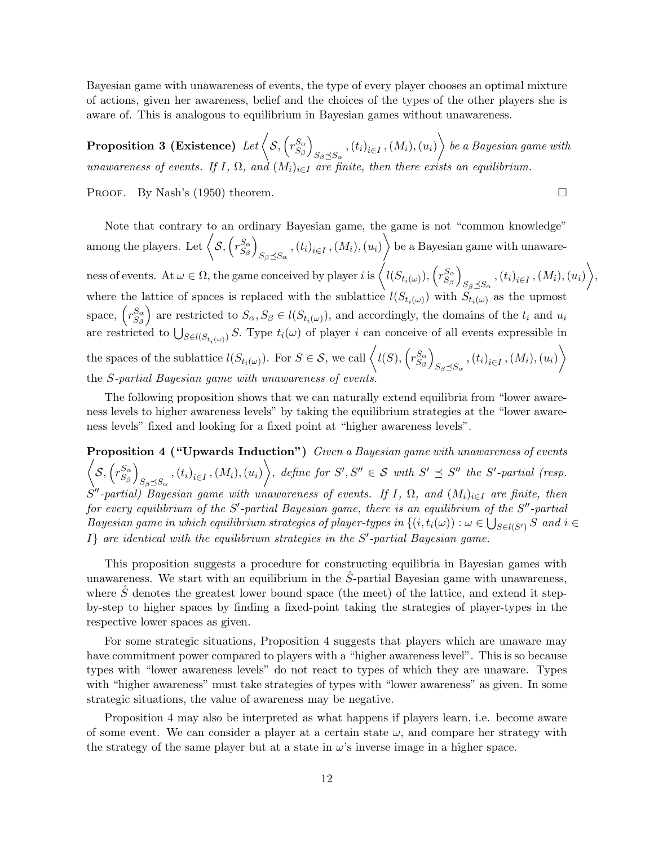Bayesian game with unawareness of events, the type of every player chooses an optimal mixture of actions, given her awareness, belief and the choices of the types of the other players she is aware of. This is analogous to equilibrium in Bayesian games without unawareness.

Proposition 3 (Existence)  $\text{Let}\left\langle \mathcal{S},\left(r_{S_{c}}^{\mathcal{S}_{\alpha}}\right)\right\rangle$  $S_{\beta}$  $\setminus$  $\left\{ \left\langle S_\beta \preceq S_\alpha \right. , \left. (t_i)_{i \in I} \right. , \left( M_i \right) , \left( u_i \right) \right\rangle \}$  be a Bayesian game with unawareness of events. If I,  $\Omega$ , and  $(M_i)_{i\in I}$  are finite, then there exists an equilibrium.

PROOF. By Nash's (1950) theorem.  $\square$ 

Note that contrary to an ordinary Bayesian game, the game is not "common knowledge" among the players. Let  $\langle \mathcal{S}, (r_{S_{c}}^{S_{\alpha}}) \rangle$  $S_{\boldsymbol{\beta}}$  $\setminus$  $\left\{S_\beta \preceq S_\alpha, (t_i)_{i \in I}, (M_i), (u_i) \right\}$  be a Bayesian game with unawareness of events. At  $\omega \in \Omega$ , the game conceived by player i is  $\left\langle l(S_{t_i(\omega)}), \left(r_{S_{\beta}}^{S_{\alpha}}\right)\right\rangle$  $S_{\boldsymbol{\beta}}$  $\setminus$  $S_{\beta \preceq S_{\alpha}}$  ,  $\left(t_{i}\right)_{i\in I}$  ,  $\left(M_{i}\right)$  ,  $\left(u_{i}\right)$   $\bigg\rangle$ , where the lattice of spaces is replaced with the sublattice  $l(S_{t_i(\omega)})$  with  $S_{t_i(\omega)}$  as the upmost space,  $\left(r_{S_{\alpha}}^{S_{\alpha}}\right)$  $S_{\beta}$ ) are restricted to  $S_{\alpha}$ ,  $S_{\beta} \in l(S_{t_i(\omega)})$ , and accordingly, the domains of the  $t_i$  and  $u_i$ are restricted to  $\bigcup_{S\in l(S_{t_i(\omega)})} S$ . Type  $t_i(\omega)$  of player i can conceive of all events expressible in the spaces of the sublattice  $l(S_{t_i(\omega)})$ . For  $S \in \mathcal{S}$ , we call  $\langle l(S), \langle r_{S_{\beta}}^{S_{\alpha}} \rangle$  $S_{\beta}$  $\setminus$  $\left\langle S_\beta{\preceq}S_\alpha\right\rangle,(t_i)_{i\in I},(M_i),(u_i)\right\rangle.$ the S-partial Bayesian game with unawareness of events.

The following proposition shows that we can naturally extend equilibria from "lower awareness levels to higher awareness levels" by taking the equilibrium strategies at the "lower awareness levels" fixed and looking for a fixed point at "higher awareness levels".

Proposition 4 ("Upwards Induction") Given a Bayesian game with unawareness of events  $\sqrt{\mathcal{S}, \left(r_{S_\alpha}^{S_\alpha}\right)}$  $S_{\boldsymbol{\beta}}$  $\setminus$  $\left\{S_\beta \preceq S_\alpha, (t_i)_{i \in I}, (M_i), (u_i) \right\}, \text{ define for } S', S'' \in \mathcal{S} \text{ with } S' \preceq S'' \text{ the } S' \text{-partial (resp.}$  $\hat{S}''$ -partial) Bayesian game with unawareness of events. If I,  $\Omega$ , and  $(M_i)_{i\in I}$  are finite, then for every equilibrium of the S'-partial Bayesian game, there is an equilibrium of the  $S''$ -partial Bayesian game in which equilibrium strategies of player-types in  $\{(i, t_i(\omega)) : \omega \in \bigcup_{S \in l(S')} S \text{ and } i \in S\}$  $I$  are identical with the equilibrium strategies in the  $S'$ -partial Bayesian game.

This proposition suggests a procedure for constructing equilibria in Bayesian games with unawareness. We start with an equilibrium in the  $S$ -partial Bayesian game with unawareness, where  $\hat{S}$  denotes the greatest lower bound space (the meet) of the lattice, and extend it stepby-step to higher spaces by finding a fixed-point taking the strategies of player-types in the respective lower spaces as given.

For some strategic situations, Proposition 4 suggests that players which are unaware may have commitment power compared to players with a "higher awareness level". This is so because types with "lower awareness levels" do not react to types of which they are unaware. Types with "higher awareness" must take strategies of types with "lower awareness" as given. In some strategic situations, the value of awareness may be negative.

Proposition 4 may also be interpreted as what happens if players learn, i.e. become aware of some event. We can consider a player at a certain state  $\omega$ , and compare her strategy with the strategy of the same player but at a state in  $\omega$ 's inverse image in a higher space.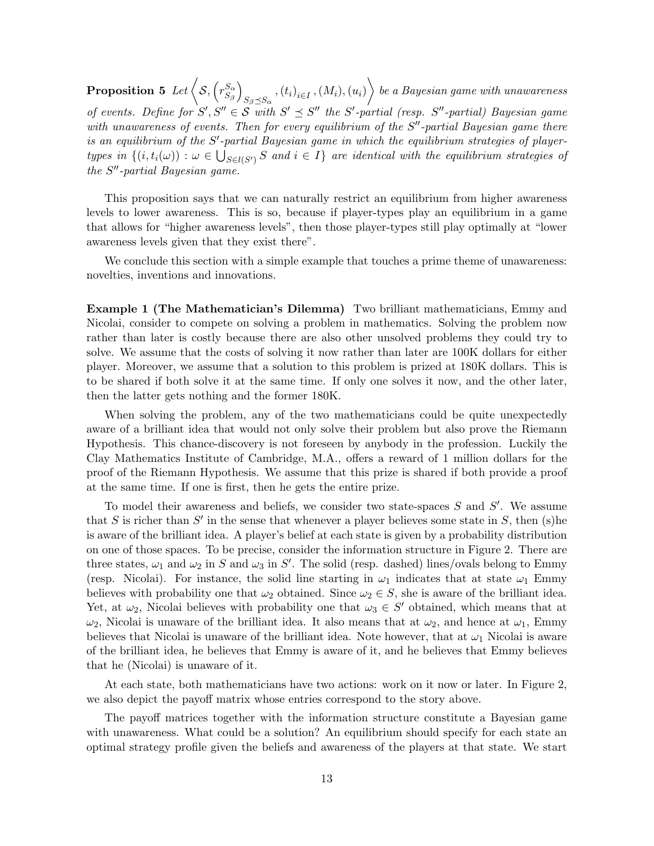Proposition 5 Let  $\sqrt{\mathcal{S}, \sqrt{r_{S_{\alpha}}^{S_{\alpha}}}}$  $S_{\beta}$  $\setminus$  $\left\{S_\beta \preceq S_\alpha}, \left(t_i\right)_{i \in I}, \left(M_i\right), \left(u_i\right) \right\}$  be a Bayesian game with unawareness of events. Define for  $S', S'' \in S$  with  $S' \preceq S''$  the  $S'$ -partial (resp.  $S''$ -partial) Bayesian game with unawareness of events. Then for every equilibrium of the  $S''$ -partial Bayesian game there is an equilibrium of the  $S'$ -partial Bayesian game in which the equilibrium strategies of playertypes in  $\{(i, t_i(\omega)) : \omega \in \bigcup_{S \in l(S')} S \text{ and } i \in I\}$  are identical with the equilibrium strategies of the  $S''$ -partial Bayesian game.

This proposition says that we can naturally restrict an equilibrium from higher awareness levels to lower awareness. This is so, because if player-types play an equilibrium in a game that allows for "higher awareness levels", then those player-types still play optimally at "lower awareness levels given that they exist there".

We conclude this section with a simple example that touches a prime theme of unawareness: novelties, inventions and innovations.

Example 1 (The Mathematician's Dilemma) Two brilliant mathematicians, Emmy and Nicolai, consider to compete on solving a problem in mathematics. Solving the problem now rather than later is costly because there are also other unsolved problems they could try to solve. We assume that the costs of solving it now rather than later are 100K dollars for either player. Moreover, we assume that a solution to this problem is prized at 180K dollars. This is to be shared if both solve it at the same time. If only one solves it now, and the other later, then the latter gets nothing and the former 180K.

When solving the problem, any of the two mathematicians could be quite unexpectedly aware of a brilliant idea that would not only solve their problem but also prove the Riemann Hypothesis. This chance-discovery is not foreseen by anybody in the profession. Luckily the Clay Mathematics Institute of Cambridge, M.A., offers a reward of 1 million dollars for the proof of the Riemann Hypothesis. We assume that this prize is shared if both provide a proof at the same time. If one is first, then he gets the entire prize.

To model their awareness and beliefs, we consider two state-spaces  $S$  and  $S'$ . We assume that S is richer than  $S'$  in the sense that whenever a player believes some state in S, then (s) he is aware of the brilliant idea. A player's belief at each state is given by a probability distribution on one of those spaces. To be precise, consider the information structure in Figure 2. There are three states,  $\omega_1$  and  $\omega_2$  in S and  $\omega_3$  in S'. The solid (resp. dashed) lines/ovals belong to Emmy (resp. Nicolai). For instance, the solid line starting in  $\omega_1$  indicates that at state  $\omega_1$  Emmy believes with probability one that  $\omega_2$  obtained. Since  $\omega_2 \in S$ , she is aware of the brilliant idea. Yet, at  $\omega_2$ , Nicolai believes with probability one that  $\omega_3 \in S'$  obtained, which means that at  $\omega_2$ , Nicolai is unaware of the brilliant idea. It also means that at  $\omega_2$ , and hence at  $\omega_1$ , Emmy believes that Nicolai is unaware of the brilliant idea. Note however, that at  $\omega_1$  Nicolai is aware of the brilliant idea, he believes that Emmy is aware of it, and he believes that Emmy believes that he (Nicolai) is unaware of it.

At each state, both mathematicians have two actions: work on it now or later. In Figure 2, we also depict the payoff matrix whose entries correspond to the story above.

The payoff matrices together with the information structure constitute a Bayesian game with unawareness. What could be a solution? An equilibrium should specify for each state an optimal strategy profile given the beliefs and awareness of the players at that state. We start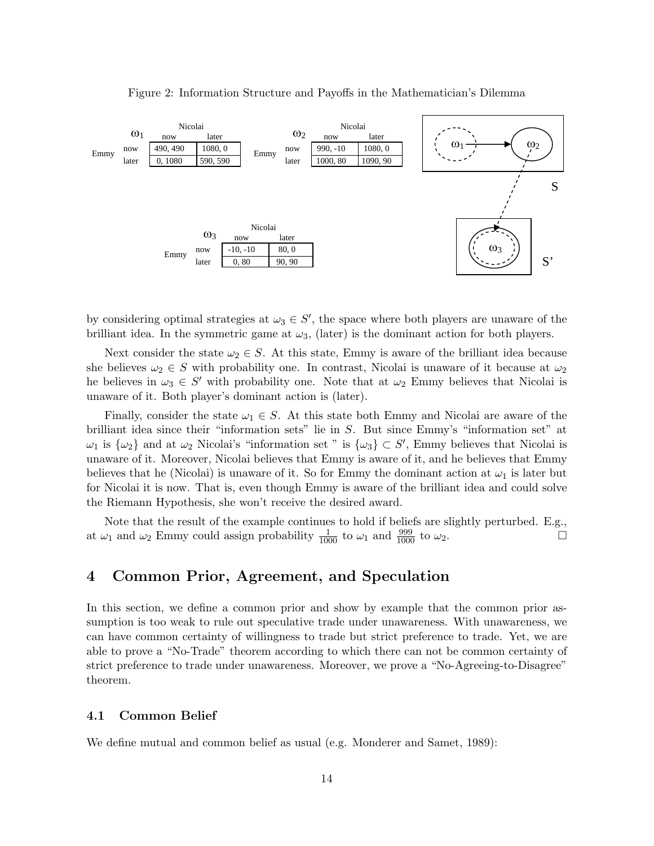

Figure 2: Information Structure and Payoffs in the Mathematician's Dilemma

by considering optimal strategies at  $\omega_3 \in S'$ , the space where both players are unaware of the brilliant idea. In the symmetric game at  $\omega_3$ , (later) is the dominant action for both players.

she believes  $\omega_2 \in S$  with probability one. In contrast, Nicolai is unaware of it because at  $\omega_2$ Next consider the state  $\omega_2 \in S$ . At this state, Emmy is aware of the brilliant idea because he believes in  $\omega_3 \in S'$  with probability one. Note that at  $\omega_2$  Emmy believes that Nicolai is unaware of it. Both player's dominant action is (later).

Finally, consider the state  $\omega_1 \in S$ . At this state both Emmy and Nicolai are aware of the brilliant idea since their "information sets" lie in S. But since Emmy's "information set" at  $\omega_1$  is  $\{\omega_2\}$  and at  $\omega_2$  Nicolai's "information set " is  $\{\omega_3\} \subset S'$ , Emmy believes that Nicolai is unaware of it. Moreover, Nicolai believes that Emmy is aware of it, and he believes that Emmy believes that he (Nicolai) is unaware of it. So for Emmy the dominant action at  $\omega_1$  is later but for Nicolai it is now. That is, even though Emmy is aware of the brilliant idea and could solve the Riemann Hypothesis, she won't receive the desired award.

Note that the result of the example continues to hold if beliefs are slightly perturbed. E.g., at  $\omega_1$  and  $\omega_2$  Emmy could assign probability  $\frac{1}{1000}$  to  $\omega_1$  and  $\frac{999}{1000}$  to  $\omega_2$ .

## 4 Common Prior, Agreement, and Speculation

In this section, we define a common prior and show by example that the common prior assumption is too weak to rule out speculative trade under unawareness. With unawareness, we can have common certainty of willingness to trade but strict preference to trade. Yet, we are able to prove a "No-Trade" theorem according to which there can not be common certainty of strict preference to trade under unawareness. Moreover, we prove a "No-Agreeing-to-Disagree" theorem.

### 4.1 Common Belief

We define mutual and common belief as usual (e.g. Monderer and Samet, 1989):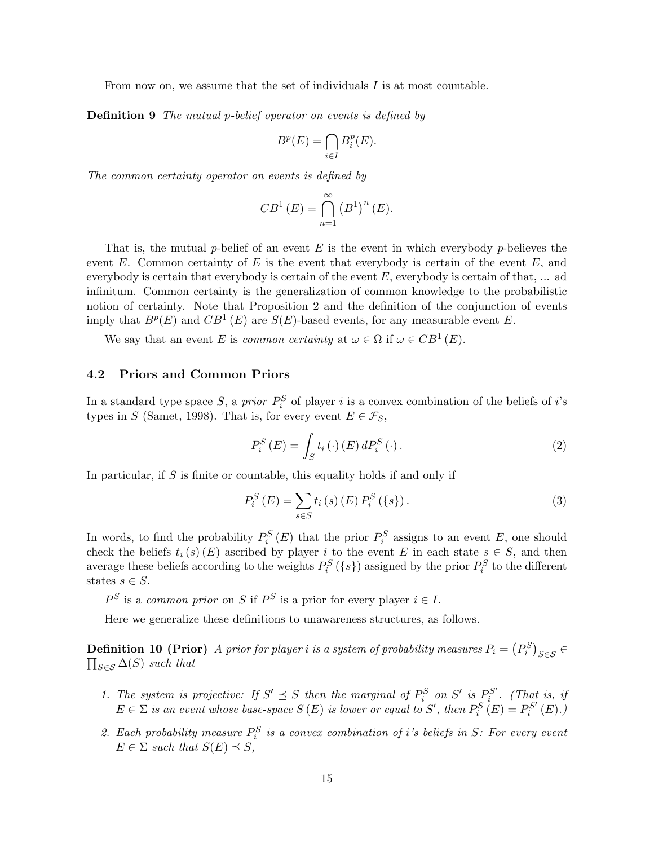From now on, we assume that the set of individuals I is at most countable.

**Definition 9** The mutual p-belief operator on events is defined by

$$
B^p(E) = \bigcap_{i \in I} B_i^p(E).
$$

The common certainty operator on events is defined by

$$
CB^{1}(E) = \bigcap_{n=1}^{\infty} (B^{1})^{n}(E).
$$

That is, the mutual p-belief of an event E is the event in which everybody p-believes the event E. Common certainty of E is the event that everybody is certain of the event  $E$ , and everybody is certain that everybody is certain of the event  $E$ , everybody is certain of that, ... ad infinitum. Common certainty is the generalization of common knowledge to the probabilistic notion of certainty. Note that Proposition 2 and the definition of the conjunction of events imply that  $B^p(E)$  and  $CB^1(E)$  are  $S(E)$ -based events, for any measurable event E.

We say that an event E is common certainty at  $\omega \in \Omega$  if  $\omega \in CB^1(E)$ .

### 4.2 Priors and Common Priors

In a standard type space S, a *prior*  $P_i^S$  of player i is a convex combination of the beliefs of i's types in S (Samet, 1998). That is, for every event  $E \in \mathcal{F}_S$ ,

$$
P_i^S(E) = \int_S t_i(\cdot) (E) dP_i^S(\cdot).
$$
 (2)

In particular, if  $S$  is finite or countable, this equality holds if and only if

$$
P_i^S(E) = \sum_{s \in S} t_i(s) (E) P_i^S(\{s\}).
$$
\n(3)

In words, to find the probability  $P_i^S(E)$  that the prior  $P_i^S$  assigns to an event E, one should check the beliefs  $t_i(s)$  (E) ascribed by player i to the event E in each state  $s \in S$ , and then average these beliefs according to the weights  $P_i^S(\{s\})$  assigned by the prior  $P_i^S$  to the different states  $s \in S$ .

 $P^S$  is a common prior on S if  $P^S$  is a prior for every player  $i \in I$ .

Here we generalize these definitions to unawareness structures, as follows.

**Definition 10 (Prior)** A prior for player i is a system of probability measures  $P_i = (P_i^S)_{S \in \mathcal{S}} \in$  $\prod_{S \in \mathcal{S}} \Delta(S)$  such that

- 1. The system is projective: If  $S' \preceq S$  then the marginal of  $P_i^S$  on  $S'$  is  $P_i^{S'}$  $\sum_{i}^{S'}$ . (That is, if  $E \in \Sigma$  is an event whose base-space  $S(E)$  is lower or equal to S', then  $P_i^S(E) = P_i^{S'}$  $\mathfrak{h}^{S'}_i\left(E\right)$ .)
- 2. Each probability measure  $P_i^S$  is a convex combination of i's beliefs in S: For every event  $E \in \Sigma$  such that  $S(E) \prec S$ ,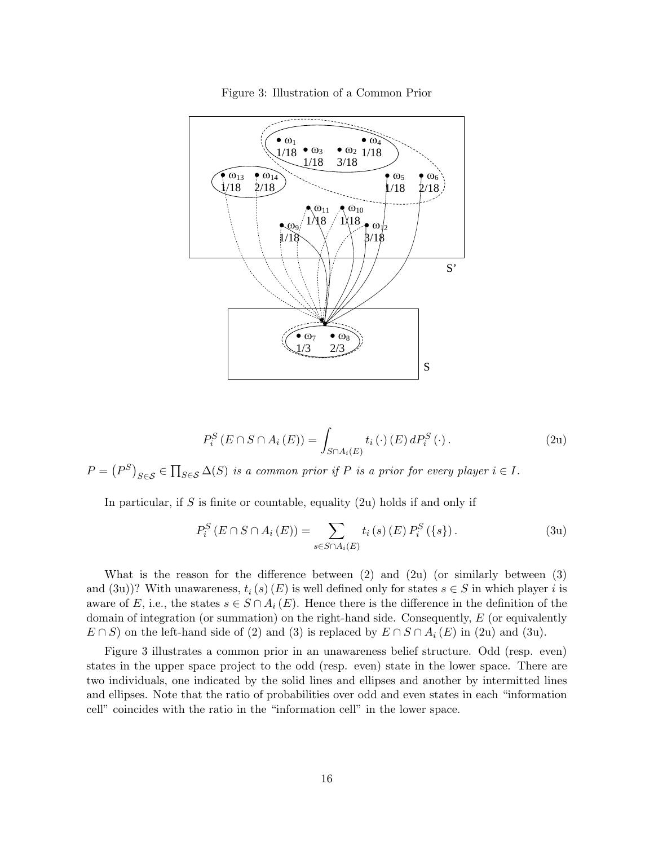

Figure 3: Illustration of a Common Prior

$$
P_i^S(E \cap S \cap A_i(E)) = \int_{S \cap A_i(E)} t_i(\cdot)(E) dP_i^S(\cdot).
$$
 (2u)

 $P = (P^S)_{S \in \mathcal{S}} \in \prod_{S \in \mathcal{S}} \Delta(S)$  is a common prior if P is a prior for every player  $i \in I$ .

In particular, if S is finite or countable, equality  $(2u)$  holds if and only if

$$
P_i^S(E \cap S \cap A_i(E)) = \sum_{s \in S \cap A_i(E)} t_i(s) (E) P_i^S(\{s\}).
$$
 (3u)

What is the reason for the difference between  $(2)$  and  $(2u)$  (or similarly between  $(3)$ ) and (3u))? With unawareness,  $t_i(s)$  (E) is well defined only for states  $s \in S$  in which player i is aware of E, i.e., the states  $s \in S \cap A_i(E)$ . Hence there is the difference in the definition of the domain of integration (or summation) on the right-hand side. Consequently,  $E$  (or equivalently  $E \cap S$  on the left-hand side of (2) and (3) is replaced by  $E \cap S \cap A_i (E)$  in (2u) and (3u).

Figure 3 illustrates a common prior in an unawareness belief structure. Odd (resp. even) states in the upper space project to the odd (resp. even) state in the lower space. There are two individuals, one indicated by the solid lines and ellipses and another by intermitted lines and ellipses. Note that the ratio of probabilities over odd and even states in each "information cell" coincides with the ratio in the "information cell" in the lower space.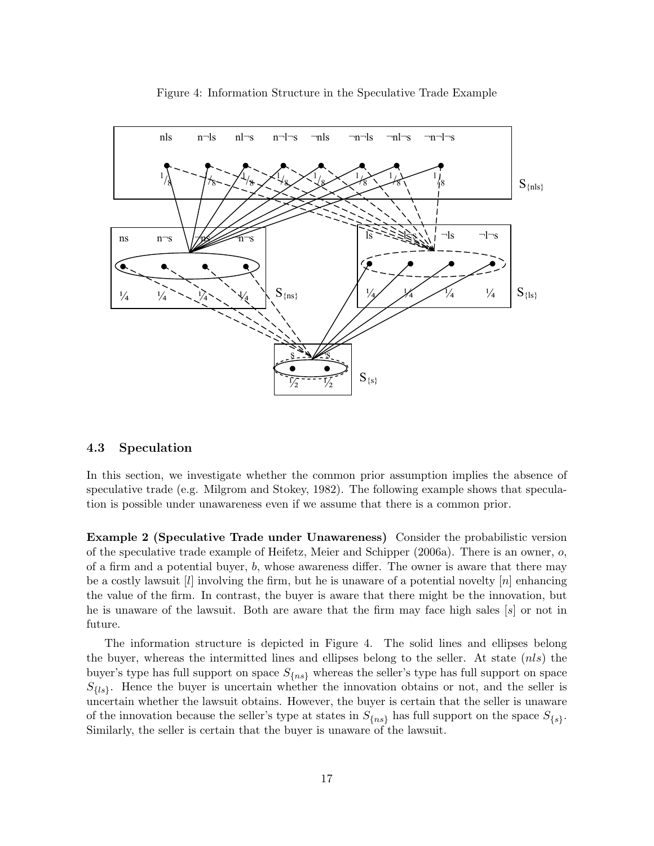

Figure 4: Information Structure in the Speculative Trade Example

### 4.3 Speculation

In this section, we investigate whether the common prior assumption implies the absence of speculative trade (e.g. Milgrom and Stokey, 1982). The following example shows that speculation is possible under unawareness even if we assume that there is a common prior.

**Example 2 (Speculative Trade under Unawareness)** Consider the probabilistic version of the speculative trade example of Heifetz, Meier and Schipper (2006a). There is an owner,  $o$ , of a firm and a potential buyer,  $b$ , whose awareness differ. The owner is aware that there may be a costly lawsuit  $[l]$  involving the firm, but he is unaware of a potential novelty  $[n]$  enhancing the value of the firm. In contrast, the buyer is aware that there might be the innovation, but he is unaware of the lawsuit. Both are aware that the firm may face high sales [s] or not in future.

The information structure is depicted in Figure 4. The solid lines and ellipses belong the buyer, whereas the intermitted lines and ellipses belong to the seller. At state  $(nls)$  the buyer's type has full support on space  $S_{\{ns\}}$  whereas the seller's type has full support on space  $S_{\{ls\}}$ . Hence the buyer is uncertain whether the innovation obtains or not, and the seller is uncertain whether the lawsuit obtains. However, the buyer is certain that the seller is unaware of the innovation because the seller's type at states in  $S_{\{ns\}}$  has full support on the space  $S_{\{s\}}$ . Similarly, the seller is certain that the buyer is unaware of the lawsuit.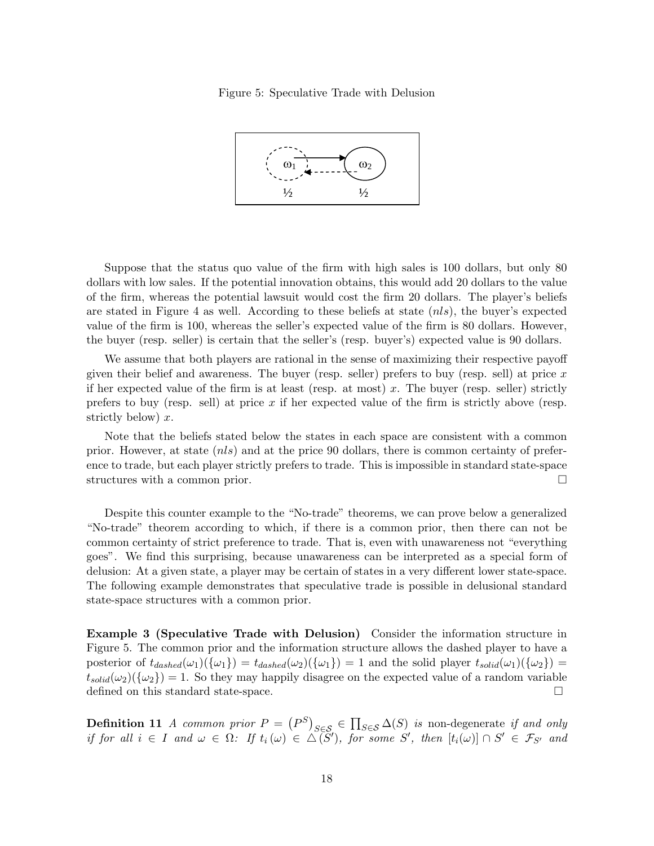Figure 5: Speculative Trade with Delusion



Suppose that the status quo value of the firm with high sales is 100 dollars, but only 80 dollars with low sales. If the potential innovation obtains, this would add 20 dollars to the value of the firm, whereas the potential lawsuit would cost the firm 20 dollars. The player's beliefs are stated in Figure 4 as well. According to these beliefs at state  $(nls)$ , the buyer's expected value of the firm is 100, whereas the seller's expected value of the firm is 80 dollars. However, the buyer (resp. seller) is certain that the seller's (resp. buyer's) expected value is 90 dollars.

We assume that both players are rational in the sense of maximizing their respective payoff given their belief and awareness. The buyer (resp. seller) prefers to buy (resp. sell) at price  $x$ if her expected value of the firm is at least (resp. at most) x. The buyer (resp. seller) strictly prefers to buy (resp. sell) at price  $x$  if her expected value of the firm is strictly above (resp. strictly below)  $x$ .

Note that the beliefs stated below the states in each space are consistent with a common prior. However, at state (nls) and at the price 90 dollars, there is common certainty of preference to trade, but each player strictly prefers to trade. This is impossible in standard state-space structures with a common prior.

Despite this counter example to the "No-trade" theorems, we can prove below a generalized "No-trade" theorem according to which, if there is a common prior, then there can not be common certainty of strict preference to trade. That is, even with unawareness not "everything goes". We find this surprising, because unawareness can be interpreted as a special form of delusion: At a given state, a player may be certain of states in a very different lower state-space. The following example demonstrates that speculative trade is possible in delusional standard state-space structures with a common prior.

Example 3 (Speculative Trade with Delusion) Consider the information structure in Figure 5. The common prior and the information structure allows the dashed player to have a posterior of  $t_{dashed}(\omega_1)(\{\omega_1\}) = t_{dashed}(\omega_2)(\{\omega_1\}) = 1$  and the solid player  $t_{solid}(\omega_1)(\{\omega_2\}) =$  $t_{solid}(\omega_2)(\{\omega_2\})=1$ . So they may happily disagree on the expected value of a random variable defined on this standard state-space.

**Definition 11** A common prior  $P = (P^S)_{S \in \mathcal{S}} \in \prod_{S \in \mathcal{S}} \Delta(S)$  is non-degenerate if and only if for all  $i \in I$  and  $\omega \in \Omega$ : If  $t_i(\omega) \in \widetilde{\Delta(S)}$ , for some S', then  $[t_i(\omega)] \cap S' \in \mathcal{F}_{S'}$  and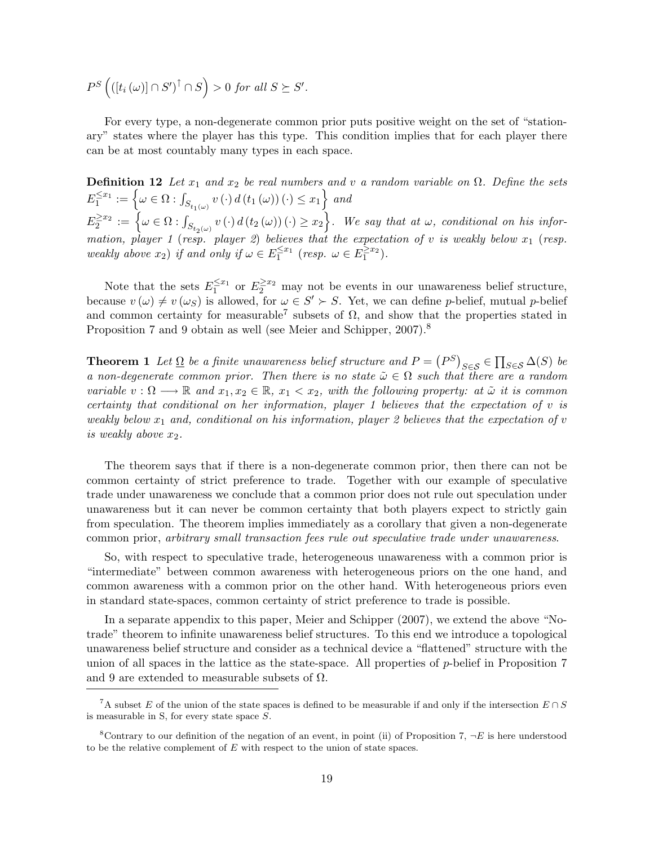$P^{S} \left( \left( \left[ t_i \left( \omega \right) \right] \cap S' \right)^{\uparrow} \cap S \right) > 0$  for all  $S \succeq S'.$ 

For every type, a non-degenerate common prior puts positive weight on the set of "stationary" states where the player has this type. This condition implies that for each player there can be at most countably many types in each space.

**Definition 12** Let  $x_1$  and  $x_2$  be real numbers and v a random variable on  $\Omega$ . Define the sets  $E_1^{\leq x_1} := \left\{ \omega \in \Omega : \int_{S_{t_1(\omega)}} v(\cdot) d(t_1(\omega)) (\cdot) \leq x_1 \right\}$  and  $E_2^{\geq x_2} := \left\{\omega \in \Omega : \int_{S_{t_2(\omega)}} v(\cdot) d(t_2(\omega))(\cdot) \geq x_2\right\}$ . We say that at  $\omega$ , conditional on his information, player 1 (resp. player 2) believes that the expectation of v is weakly below  $x_1$  (resp. weakly above  $x_2$ ) if and only if  $\omega \in E_1^{\leq x_1}$  (resp.  $\omega \in E_1^{\geq x_2}$ ).

Note that the sets  $E_1^{\leq x_1}$  or  $E_2^{\geq x_2}$  may not be events in our unawareness belief structure, because  $v(\omega) \neq v(\omega_S)$  is allowed, for  $\omega \in S' \succ S$ . Yet, we can define p-belief, mutual p-belief and common certainty for measurable<sup>7</sup> subsets of  $\Omega$ , and show that the properties stated in Proposition 7 and 9 obtain as well (see Meier and Schipper, 2007).<sup>8</sup>

**Theorem 1** Let  $\Omega$  be a finite unawareness belief structure and  $P = (P^S)_{S \in \mathcal{S}} \in \prod_{S \in \mathcal{S}} \Delta(S)$  be a non-degenerate common prior. Then there is no state  $\tilde{\omega} \in \Omega$  such that there are a random variable  $v : \Omega \longrightarrow \mathbb{R}$  and  $x_1, x_2 \in \mathbb{R}$ ,  $x_1 < x_2$ , with the following property: at  $\tilde{\omega}$  it is common certainty that conditional on her information, player 1 believes that the expectation of  $v$  is weakly below  $x_1$  and, conditional on his information, player 2 believes that the expectation of v is weakly above  $x_2$ .

The theorem says that if there is a non-degenerate common prior, then there can not be common certainty of strict preference to trade. Together with our example of speculative trade under unawareness we conclude that a common prior does not rule out speculation under unawareness but it can never be common certainty that both players expect to strictly gain from speculation. The theorem implies immediately as a corollary that given a non-degenerate common prior, arbitrary small transaction fees rule out speculative trade under unawareness.

So, with respect to speculative trade, heterogeneous unawareness with a common prior is "intermediate" between common awareness with heterogeneous priors on the one hand, and common awareness with a common prior on the other hand. With heterogeneous priors even in standard state-spaces, common certainty of strict preference to trade is possible.

In a separate appendix to this paper, Meier and Schipper (2007), we extend the above "Notrade" theorem to infinite unawareness belief structures. To this end we introduce a topological unawareness belief structure and consider as a technical device a "flattened" structure with the union of all spaces in the lattice as the state-space. All properties of  $p$ -belief in Proposition 7 and 9 are extended to measurable subsets of  $\Omega$ .

<sup>&</sup>lt;sup>7</sup>A subset E of the union of the state spaces is defined to be measurable if and only if the intersection  $E \cap S$ is measurable in S, for every state space S.

<sup>&</sup>lt;sup>8</sup>Contrary to our definition of the negation of an event, in point (ii) of Proposition 7,  $\neg E$  is here understood to be the relative complement of  $E$  with respect to the union of state spaces.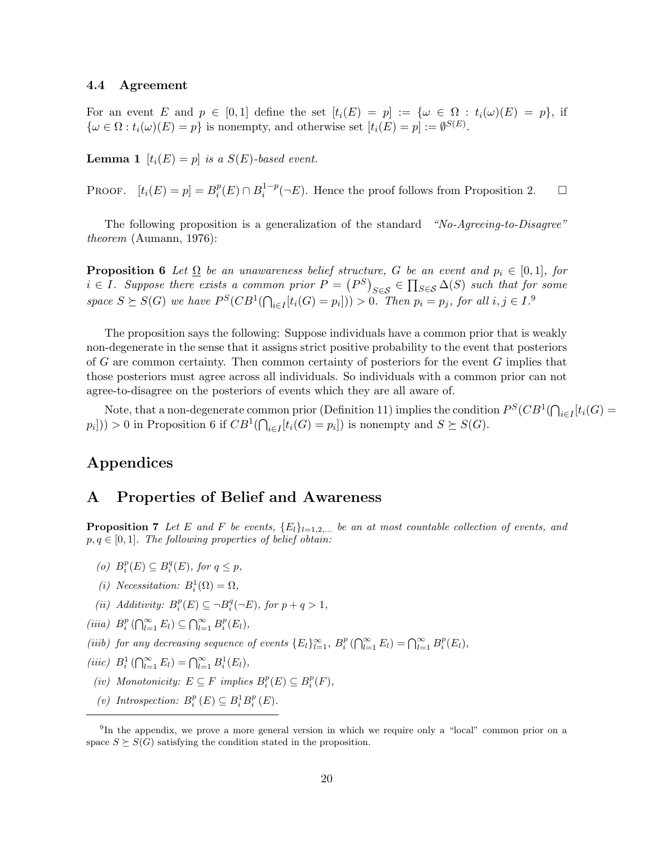### 4.4 Agreement

For an event E and  $p \in [0,1]$  define the set  $[t_i(E) = p] := {\omega \in \Omega : t_i(\omega)(E) = p}$ , if  $\{\omega \in \Omega : t_i(\omega)(E) = p\}$  is nonempty, and otherwise set  $[t_i(E) = p] := \emptyset^{S(E)}$ .

**Lemma 1**  $[t_i(E) = p]$  is a  $S(E)$ -based event.

PROOF.  $[t_i(E) = p] = B_i^p$  $_i^p(E) \cap B_i^{1-p}$  $i^{1-p}(\neg E)$ . Hence the proof follows from Proposition 2.  $\Box$ 

The following proposition is a generalization of the standard "No-Agreeing-to-Disagree" theorem (Aumann, 1976):

**Proposition 6** Let  $\Omega$  be an unawareness belief structure, G be an event and  $p_i \in [0,1]$ , for  $i \in I$ . Suppose there exists a common prior  $P = (P^S)_{S \in \mathcal{S}} \in \prod_{S \in \mathcal{S}} \Delta(S)$  such that for some space  $S \succeq S(G)$  we have  $P^S(CB^1(\bigcap_{i \in I} [t_i(G) = p_i])) > 0$ . Then  $p_i = p_j$ , for all  $i, j \in I$ .

The proposition says the following: Suppose individuals have a common prior that is weakly non-degenerate in the sense that it assigns strict positive probability to the event that posteriors of G are common certainty. Then common certainty of posteriors for the event  $G$  implies that those posteriors must agree across all individuals. So individuals with a common prior can not agree-to-disagree on the posteriors of events which they are all aware of.

Note, that a non-degenerate common prior (Definition 11) implies the condition  $P^S(CB^1(\bigcap_{i\in I} [t_i(G)]))$  $p_i$ ])) > 0 in Proposition 6 if  $CB^1(\bigcap_{i \in I} [t_i(G) = p_i])$  is nonempty and  $S \succeq S(G)$ .

## Appendices

### A Properties of Belief and Awareness

**Proposition 7** Let E and F be events,  ${E_l}_{l=1,2,...}$  be an at most countable collection of events, and  $p, q \in [0, 1]$ . The following properties of belief obtain:

- (o)  $B_i^p(E) \subseteq B_i^q(E)$ , for  $q \leq p$ ,
- (i) Necessitation:  $B_i^1(\Omega) = \Omega$ ,
- (ii) Additivity:  $B_i^p(E) \subseteq \neg B_i^q(\neg E)$ , for  $p + q > 1$ ,
- (iiia)  $B_i^p(\bigcap_{l=1}^{\infty} E_l) \subseteq \bigcap_{l=1}^{\infty} B_i^p(E_l)$ ,
- (iiib) for any decreasing sequence of events  $\{E_l\}_{l=1}^{\infty}$ ,  $B_i^p(\bigcap_{l=1}^{\infty} E_l) = \bigcap_{l=1}^{\infty} B_i^p(E_l)$ ,
- (iiic)  $B_i^1(\bigcap_{l=1}^{\infty} E_l) = \bigcap_{l=1}^{\infty} B_i^1(E_l),$
- (iv) Monotonicity:  $E \subseteq F$  implies  $B_i^p(E) \subseteq B_i^p(F)$ ,
- (v) Introspection:  $B_i^p(E) \subseteq B_i^1 B_i^p(E)$ .

<sup>&</sup>lt;sup>9</sup>In the appendix, we prove a more general version in which we require only a "local" common prior on a space  $S \succeq S(G)$  satisfying the condition stated in the proposition.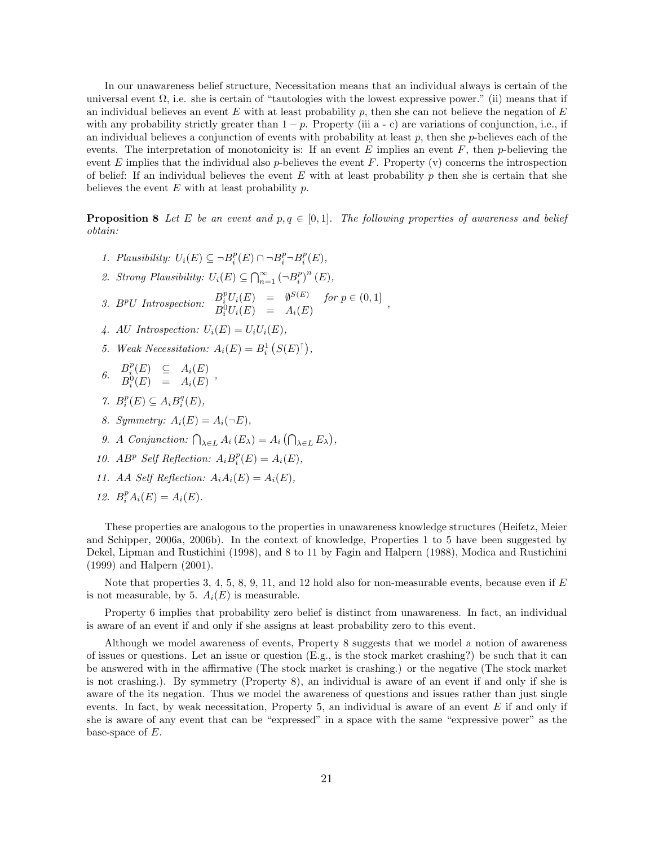In our unawareness belief structure, Necessitation means that an individual always is certain of the universal event  $\Omega$ , i.e. she is certain of "tautologies with the lowest expressive power." (ii) means that if an individual believes an event  $E$  with at least probability  $p$ , then she can not believe the negation of  $E$ with any probability strictly greater than  $1 - p$ . Property (iii a - c) are variations of conjunction, i.e., if an individual believes a conjunction of events with probability at least  $p$ , then she  $p$ -believes each of the events. The interpretation of monotonicity is: If an event E implies an event  $F$ , then p-believing the event E implies that the individual also p-believes the event F. Property  $(v)$  concerns the introspection of belief: If an individual believes the event  $E$  with at least probability  $p$  then she is certain that she believes the event  $E$  with at least probability  $p$ .

**Proposition 8** Let E be an event and  $p, q \in [0, 1]$ . The following properties of awareness and belief obtain:

- 1. Plausibility:  $U_i(E) \subseteq \neg B_i^p(E) \cap \neg B_i^p \neg B_i^p(E)$ ,
- 2. Strong Plausibility:  $U_i(E) \subseteq \bigcap_{n=1}^{\infty} \left(\neg B_i^p\right)^n(E)$ ,
- 3. B<sup>p</sup>U Introspection:  $B_i^p U_i(E) = \emptyset^{S(E)}$  for  $p \in (0, 1]$  $B_i^0 U_i(E) = A_i(E)$ ,  $B_i^0 U_i(E) = A_i(E)$ ,
- 4. AU Introspection:  $U_i(E) = U_i U_i(E)$
- 5. Weak Necessitation:  $A_i(E) = B_i^1(S(E)^{\uparrow}),$
- 6.  $B_i^p(E) \subseteq A_i(E)$ <br> $B_0(E) \subseteq A_i(E)$  $B_i^0(E) = A_i(E)$ ,
- 7.  $B_i^p(E) \subseteq A_i B_i^q(E)$ ,
- 8. Symmetry:  $A_i(E) = A_i(\neg E)$ ,
- 9. A Conjunction:  $\bigcap_{\lambda \in L} A_i(E_{\lambda}) = A_i \bigcap_{\lambda \in L} E_{\lambda} \big),$
- 10. AB<sup>p</sup> Self Reflection:  $A_i B_i^p(E) = A_i(E)$ ,
- 11. AA Self Reflection:  $A_iA_i(E) = A_i(E)$ ,
- 12.  $B_i^p A_i(E) = A_i(E)$ .

These properties are analogous to the properties in unawareness knowledge structures (Heifetz, Meier and Schipper, 2006a, 2006b). In the context of knowledge, Properties 1 to 5 have been suggested by Dekel, Lipman and Rustichini (1998), and 8 to 11 by Fagin and Halpern (1988), Modica and Rustichini (1999) and Halpern (2001).

Note that properties 3, 4, 5, 8, 9, 11, and 12 hold also for non-measurable events, because even if  $E$ is not measurable, by 5.  $A_i(E)$  is measurable.

Property 6 implies that probability zero belief is distinct from unawareness. In fact, an individual is aware of an event if and only if she assigns at least probability zero to this event.

Although we model awareness of events, Property 8 suggests that we model a notion of awareness of issues or questions. Let an issue or question (E.g., is the stock market crashing?) be such that it can be answered with in the affirmative (The stock market is crashing.) or the negative (The stock market is not crashing.). By symmetry (Property 8), an individual is aware of an event if and only if she is aware of the its negation. Thus we model the awareness of questions and issues rather than just single events. In fact, by weak necessitation, Property 5, an individual is aware of an event  $E$  if and only if she is aware of any event that can be "expressed" in a space with the same "expressive power" as the base-space of  $E$ .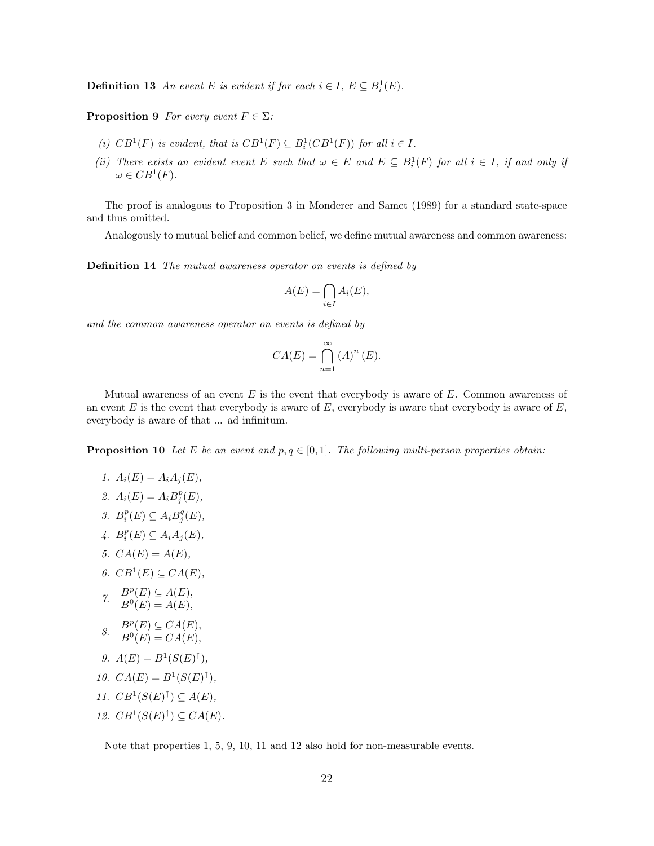**Definition 13** An event E is evident if for each  $i \in I$ ,  $E \subseteq B_i^1(E)$ .

**Proposition 9** For every event  $F \in \Sigma$ :

- (i)  $CB^1(F)$  is evident, that is  $CB^1(F) \subseteq B_i^1(CB^1(F))$  for all  $i \in I$ .
- (ii) There exists an evident event E such that  $\omega \in E$  and  $E \subseteq B_i^1(F)$  for all  $i \in I$ , if and only if  $\omega \in CB^1(F)$ .

The proof is analogous to Proposition 3 in Monderer and Samet (1989) for a standard state-space and thus omitted.

Analogously to mutual belief and common belief, we define mutual awareness and common awareness:

Definition 14 The mutual awareness operator on events is defined by

$$
A(E) = \bigcap_{i \in I} A_i(E),
$$

and the common awareness operator on events is defined by

$$
CA(E) = \bigcap_{n=1}^{\infty} (A)^{n} (E).
$$

Mutual awareness of an event  $E$  is the event that everybody is aware of  $E$ . Common awareness of an event  $E$  is the event that everybody is aware of  $E$ , everybody is aware that everybody is aware of  $E$ , everybody is aware of that ... ad infinitum.

**Proposition 10** Let E be an event and  $p, q \in [0, 1]$ . The following multi-person properties obtain:

- 1.  $A_i(E) = A_i A_j(E)$ ,
- 2.  $A_i(E) = A_i B_j^p(E),$
- 3.  $B_i^p(E) \subseteq A_i B_j^q(E)$ ,
- 4.  $B_i^p(E) \subseteq A_i A_j(E)$ ,
- 5.  $CA(E) = A(E)$ ,
- 6.  $CB^1(E) \subseteq CA(E)$ ,
- 7.  $B^p(E) \subseteq A(E)$ ,  $B^{0}(E) = A(E),$
- $B^p(E) \subseteq CA(E),$ <br> $B^0(E) \subseteq CA(E),$  $B^0(E) = CA(E),$
- 9.  $A(E) = B^1(S(E)^{\uparrow}),$
- 10.  $CA(E) = B^1(S(E)^{\uparrow}),$
- 11.  $CB^1(S(E)^{\uparrow}) \subseteq A(E)$ ,
- 12.  $CB^1(S(E)^{\uparrow}) \subseteq CA(E)$ .

Note that properties 1, 5, 9, 10, 11 and 12 also hold for non-measurable events.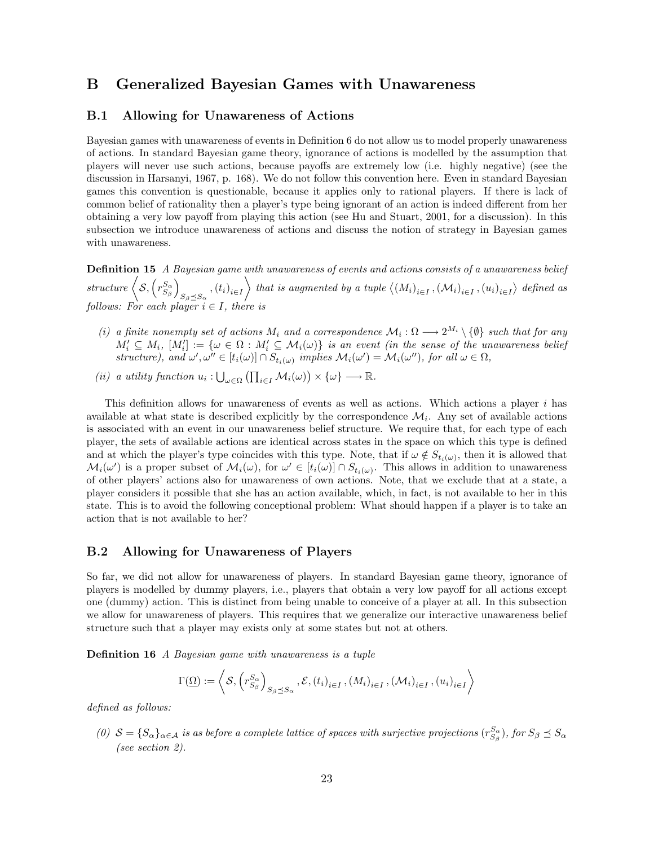## B Generalized Bayesian Games with Unawareness

### B.1 Allowing for Unawareness of Actions

Bayesian games with unawareness of events in Definition 6 do not allow us to model properly unawareness of actions. In standard Bayesian game theory, ignorance of actions is modelled by the assumption that players will never use such actions, because payoffs are extremely low (i.e. highly negative) (see the discussion in Harsanyi, 1967, p. 168). We do not follow this convention here. Even in standard Bayesian games this convention is questionable, because it applies only to rational players. If there is lack of common belief of rationality then a player's type being ignorant of an action is indeed different from her obtaining a very low payoff from playing this action (see Hu and Stuart, 2001, for a discussion). In this subsection we introduce unawareness of actions and discuss the notion of strategy in Bayesian games with unawareness.

Definition 15 A Bayesian game with unawareness of events and actions consists of a unawareness belief  $structure \left<{\mathcal S},\left(r^{S_{\alpha}}_{S_{\beta}}\right)\right.$  $S_{\beta \preceq S_{\alpha}}$ ,  $(t_i)_{i \in I}$ that is augmented by a tuple  $\langle (M_i)_{i \in I}, (\mathcal{M}_i)_{i \in I}, (u_i)_{i \in I} \rangle$  defined as follows: For each player  $i \in I$ , there is

- (i) a finite nonempty set of actions  $M_i$  and a correspondence  $\mathcal{M}_i : \Omega \longrightarrow 2^{M_i} \setminus \{\emptyset\}$  such that for any  $M'_i \subseteq M_i$ ,  $[M'_i] := {\omega \in \Omega : M'_i \subseteq \mathcal{M}_i(\omega)}$  is an event (in the sense of the unawareness belief structure), and  $\omega', \omega'' \in [t_i(\omega)] \cap S_{t_i(\omega)}$  implies  $\mathcal{M}_i(\omega') = \mathcal{M}_i(\omega'')$ , for all  $\omega \in \Omega$ ,
- (ii) a utility function  $u_i: \bigcup_{\omega \in \Omega} (\prod_{i \in I} M_i(\omega)) \times \{\omega\} \longrightarrow \mathbb{R}$ .

This definition allows for unawareness of events as well as actions. Which actions a player i has available at what state is described explicitly by the correspondence  $\mathcal{M}_i$ . Any set of available actions is associated with an event in our unawareness belief structure. We require that, for each type of each player, the sets of available actions are identical across states in the space on which this type is defined and at which the player's type coincides with this type. Note, that if  $\omega \notin S_{t_i(\omega)}$ , then it is allowed that  $\mathcal{M}_i(\omega')$  is a proper subset of  $\mathcal{M}_i(\omega)$ , for  $\omega' \in [t_i(\omega)] \cap S_{t_i(\omega)}$ . This allows in addition to unawareness of other players' actions also for unawareness of own actions. Note, that we exclude that at a state, a player considers it possible that she has an action available, which, in fact, is not available to her in this state. This is to avoid the following conceptional problem: What should happen if a player is to take an action that is not available to her?

### B.2 Allowing for Unawareness of Players

So far, we did not allow for unawareness of players. In standard Bayesian game theory, ignorance of players is modelled by dummy players, i.e., players that obtain a very low payoff for all actions except one (dummy) action. This is distinct from being unable to conceive of a player at all. In this subsection we allow for unawareness of players. This requires that we generalize our interactive unawareness belief structure such that a player may exists only at some states but not at others.

Definition 16 A Bayesian game with unawareness is a tuple

$$
\Gamma(\underline{\Omega}) := \left\langle \mathcal{S}, \left( r_{S_{\beta}}^{S_{\alpha}} \right)_{S_{\beta} \preceq S_{\alpha}}, \mathcal{E}, \left( t_{i} \right)_{i \in I}, \left( M_{i} \right)_{i \in I}, \left( \mathcal{M}_{i} \right)_{i \in I}, \left( u_{i} \right)_{i \in I} \right\rangle
$$

defined as follows:

(0)  $S = \{S_\alpha\}_{\alpha \in A}$  is as before a complete lattice of spaces with surjective projections  $(r_{S_\beta}^{S_\alpha})$ , for  $S_\beta \preceq S_\alpha$ (see section 2).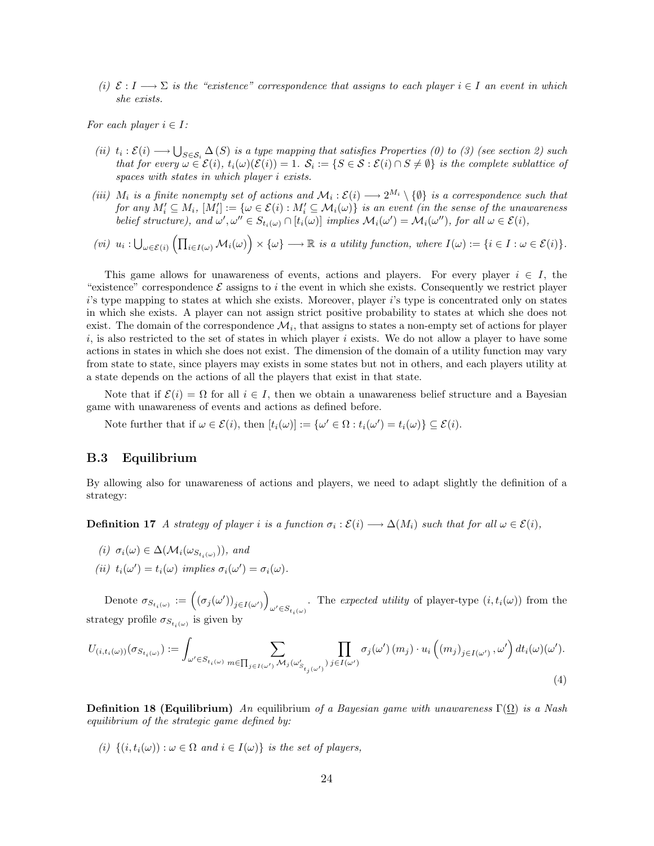(i)  $\mathcal{E}: I \longrightarrow \Sigma$  is the "existence" correspondence that assigns to each player  $i \in I$  an event in which she exists.

For each player  $i \in I$ :

- (ii)  $t_i : \mathcal{E}(i) \longrightarrow \bigcup_{S \in \mathcal{S}_i} \Delta(S)$  is a type mapping that satisfies Properties (0) to (3) (see section 2) such that for every  $\omega \in \mathcal{E}(i)$ ,  $t_i(\omega)(\mathcal{E}(i)) = 1$ .  $\mathcal{S}_i := \{ S \in \mathcal{S} : \mathcal{E}(i) \cap S \neq \emptyset \}$  is the complete sublattice of spaces with states in which player i exists.
- (iii)  $M_i$  is a finite nonempty set of actions and  $\mathcal{M}_i:\mathcal{E}(i) \longrightarrow 2^{M_i} \setminus \{\emptyset\}$  is a correspondence such that for any  $M'_i \subseteq M_i$ ,  $[M'_i] := \{ \omega \in \mathcal{E}(i) : M'_i \subseteq \mathcal{M}_i(\omega) \}$  is an event (in the sense of the unawareness belief structure), and  $\omega', \omega'' \in S_{t_i(\omega)} \cap [t_i(\omega)]$  implies  $\mathcal{M}_i(\omega') = \mathcal{M}_i(\omega'')$ , for all  $\omega \in \mathcal{E}(i)$ ,

$$
(vi) \ \ u_i: \bigcup_{\omega \in \mathcal{E}(i)} \left( \prod_{i \in I(\omega)} \mathcal{M}_i(\omega) \right) \times \{\omega\} \longrightarrow \mathbb{R} \ \ is \ a \ \ utility \ function, \ where \ I(\omega) := \{i \in I : \omega \in \mathcal{E}(i)\}.
$$

This game allows for unawareness of events, actions and players. For every player  $i \in I$ , the "existence" correspondence  $\mathcal E$  assigns to i the event in which she exists. Consequently we restrict player i's type mapping to states at which she exists. Moreover, player i's type is concentrated only on states in which she exists. A player can not assign strict positive probability to states at which she does not exist. The domain of the correspondence  $\mathcal{M}_i$ , that assigns to states a non-empty set of actions for player  $i$ , is also restricted to the set of states in which player i exists. We do not allow a player to have some actions in states in which she does not exist. The dimension of the domain of a utility function may vary from state to state, since players may exists in some states but not in others, and each players utility at a state depends on the actions of all the players that exist in that state.

Note that if  $\mathcal{E}(i) = \Omega$  for all  $i \in I$ , then we obtain a unawareness belief structure and a Bayesian game with unawareness of events and actions as defined before.

Note further that if  $\omega \in \mathcal{E}(i)$ , then  $[t_i(\omega)] := {\{\omega' \in \Omega : t_i(\omega') = t_i(\omega)\}} \subseteq \mathcal{E}(i)$ .

#### B.3 Equilibrium

By allowing also for unawareness of actions and players, we need to adapt slightly the definition of a strategy:

**Definition 17** A strategy of player i is a function  $\sigma_i : \mathcal{E}(i) \longrightarrow \Delta(M_i)$  such that for all  $\omega \in \mathcal{E}(i)$ ,

- (i)  $\sigma_i(\omega) \in \Delta(\mathcal{M}_i(\omega_{S_{t_i}(\omega)}))$ , and
- (ii)  $t_i(\omega') = t_i(\omega)$  implies  $\sigma_i(\omega') = \sigma_i(\omega)$ .

Denote  $\sigma_{S_{t_i(\omega)}} := ((\sigma_j(\omega'))_{j \in I(\omega')})$ . The expected utility of player-type  $(i, t_i(\omega))$  from the strategy profile  $\sigma_{S_{t_i(\omega)}}$  is given by

$$
U_{(i,t_i(\omega))}(\sigma_{S_{t_i(\omega)}}) := \int_{\omega' \in S_{t_i(\omega)}} \sum_{m \in \prod_{j \in I(\omega')} \mathcal{M}_j(\omega'_{S_{t_j(\omega')}})} \prod_{j \in I(\omega')} \sigma_j(\omega') \left(m_j\right) \cdot u_i\left((m_j)_{j \in I(\omega')}, \omega'\right) dt_i(\omega)(\omega').
$$
\n(4)

**Definition 18 (Equilibrium)** An equilibrium of a Bayesian game with unawareness  $\Gamma(\Omega)$  is a Nash equilibrium of the strategic game defined by:

(i)  $\{(i, t_i(\omega)) : \omega \in \Omega \text{ and } i \in I(\omega)\}\$ is the set of players,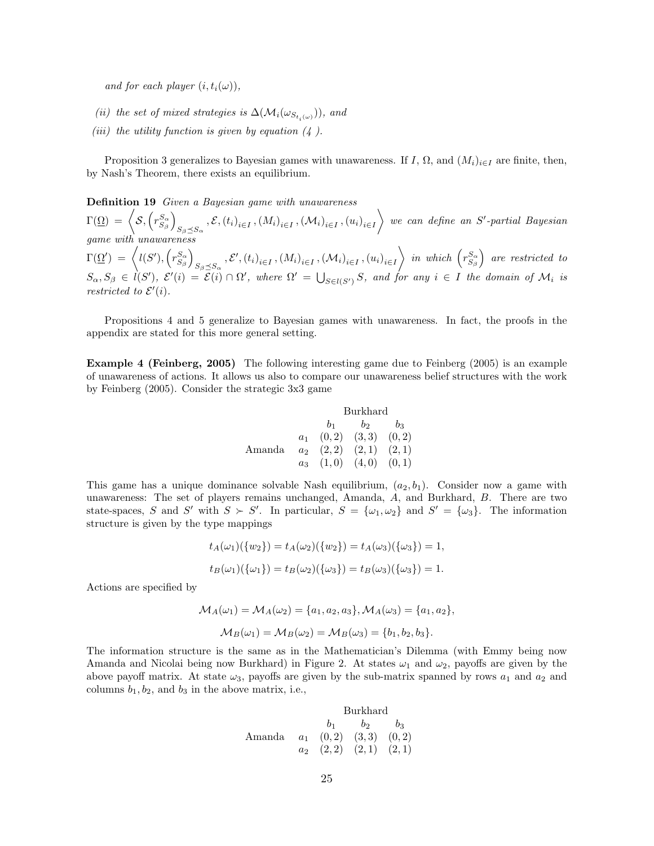and for each player  $(i, t_i(\omega))$ ,

- (ii) the set of mixed strategies is  $\Delta(\mathcal{M}_i(\omega_{S_{t_i}(\omega)}))$ , and
- (iii) the utility function is given by equation  $(4)$ .

Proposition 3 generalizes to Bayesian games with unawareness. If I,  $\Omega$ , and  $(M_i)_{i\in I}$  are finite, then, by Nash's Theorem, there exists an equilibrium.

Definition 19 Given a Bayesian game with unawareness

 $\Gamma(\underline{\Omega}) \ = \ \Big\langle {\cal S}, \left( r_{S_\beta}^{S_\alpha} \right) \Big\rangle$  $_{S_{\beta}\preceq S_{\alpha}}$  ,  $\mathcal{E},\left(t_{i}\right)_{i\in I},\left(M_{i}\right)_{i\in I},\left(\mathcal{M}_{i}\right)_{i\in I},\left(u_{i}\right)_{i\in I}$  $\Big\}$  we can define an S'-partial Bayesian game with unawareness  $\Gamma(\underline{\Omega}') \;=\; \bigg\langle l(S'), \left(r_{S_\beta}^{S_\alpha}\right) \right\rangle$  $_{S_{\beta}\preceq S_{\alpha}}$ ,  $\mathcal{E}',(t_i)_{i\in I}$ ,  $(M_i)_{i\in I}$ ,  $(\mathcal{M}_i)_{i\in I}$ ,  $(u_i)_{i\in I}$  $\Big\backslash$  in which  $\left(r_{S_\beta}^{S_\alpha}\right)$  are restricted to  $S_{\alpha},S_{\beta} \in \ell(S')$ ,  $\mathcal{E}'(i) = \mathcal{E}(i) \cap \Omega'$ , where  $\Omega' = \bigcup_{S \in \ell(S')} S$ , and for any  $i \in I$  the domain of  $\mathcal{M}_i$  is restricted to  $\mathcal{E}'(i)$ .

Propositions 4 and 5 generalize to Bayesian games with unawareness. In fact, the proofs in the appendix are stated for this more general setting.

Example 4 (Feinberg, 2005) The following interesting game due to Feinberg (2005) is an example of unawareness of actions. It allows us also to compare our unawareness belief structures with the work by Feinberg (2005). Consider the strategic 3x3 game

|        |       | Burkhard |                               |    |
|--------|-------|----------|-------------------------------|----|
|        |       | $b_{1}$  | $b_2$                         | bэ |
|        | $a_1$ |          | $(0,2)$ $(3,3)$ $(0,2)$       |    |
| Amanda |       |          | $a_2$ $(2,2)$ $(2,1)$ $(2,1)$ |    |
|        |       |          | $a_3$ $(1,0)$ $(4,0)$ $(0,1)$ |    |

This game has a unique dominance solvable Nash equilibrium,  $(a_2, b_1)$ . Consider now a game with unawareness: The set of players remains unchanged, Amanda, A, and Burkhard, B. There are two state-spaces, S and S' with  $S \succ S'$ . In particular,  $S = {\omega_1, \omega_2}$  and  $S' = {\omega_3}$ . The information structure is given by the type mappings

$$
t_A(\omega_1)(\{w_2\}) = t_A(\omega_2)(\{w_2\}) = t_A(\omega_3)(\{\omega_3\}) = 1,
$$
  

$$
t_B(\omega_1)(\{\omega_1\}) = t_B(\omega_2)(\{\omega_3\}) = t_B(\omega_3)(\{\omega_3\}) = 1.
$$

Actions are specified by

$$
\mathcal{M}_A(\omega_1) = \mathcal{M}_A(\omega_2) = \{a_1, a_2, a_3\}, \mathcal{M}_A(\omega_3) = \{a_1, a_2\}, \mathcal{M}_B(\omega_1) = \mathcal{M}_B(\omega_2) = \mathcal{M}_B(\omega_3) = \{b_1, b_2, b_3\}.
$$

The information structure is the same as in the Mathematician's Dilemma (with Emmy being now Amanda and Nicolai being now Burkhard) in Figure 2. At states  $\omega_1$  and  $\omega_2$ , payoffs are given by the above payoff matrix. At state  $\omega_3$ , payoffs are given by the sub-matrix spanned by rows  $a_1$  and  $a_2$  and columns  $b_1, b_2$ , and  $b_3$  in the above matrix, i.e.,

Burkhard  
\n
$$
b_1
$$
  $b_2$   $b_3$   
\nAmanda  
\n $a_1$  (0, 2) (3, 3) (0, 2)  
\n $a_2$  (2, 2) (2, 1) (2, 1)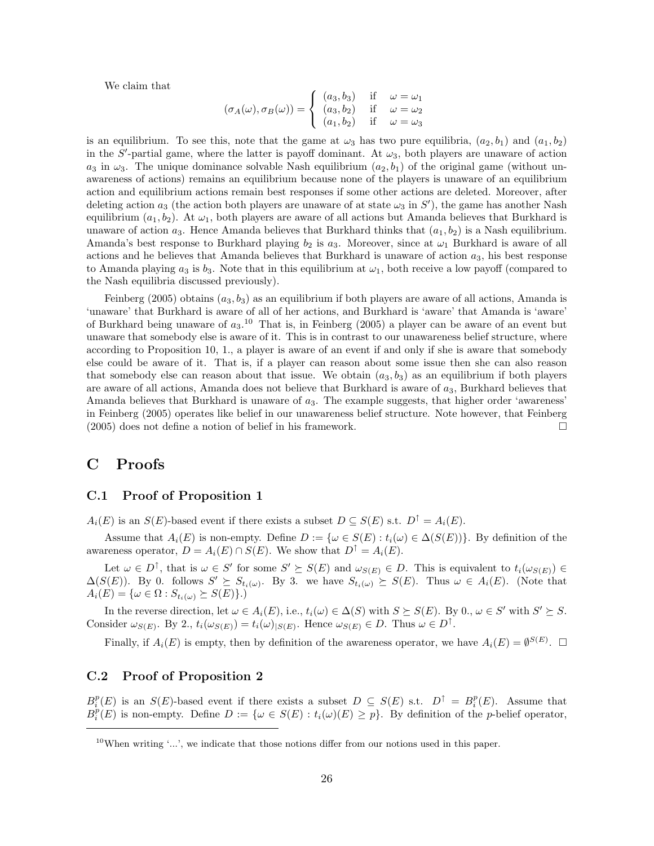We claim that

$$
(\sigma_A(\omega), \sigma_B(\omega)) = \begin{cases} (a_3, b_3) & \text{if } \omega = \omega_1 \\ (a_3, b_2) & \text{if } \omega = \omega_2 \\ (a_1, b_2) & \text{if } \omega = \omega_3 \end{cases}
$$

is an equilibrium. To see this, note that the game at  $\omega_3$  has two pure equilibria,  $(a_2, b_1)$  and  $(a_1, b_2)$ in the S'-partial game, where the latter is payoff dominant. At  $\omega_3$ , both players are unaware of action  $a_3$  in  $\omega_3$ . The unique dominance solvable Nash equilibrium  $(a_2, b_1)$  of the original game (without unawareness of actions) remains an equilibrium because none of the players is unaware of an equilibrium action and equilibrium actions remain best responses if some other actions are deleted. Moreover, after deleting action  $a_3$  (the action both players are unaware of at state  $\omega_3$  in  $S'$ ), the game has another Nash equilibrium  $(a_1, b_2)$ . At  $\omega_1$ , both players are aware of all actions but Amanda believes that Burkhard is unaware of action  $a_3$ . Hence Amanda believes that Burkhard thinks that  $(a_1, b_2)$  is a Nash equilibrium. Amanda's best response to Burkhard playing  $b_2$  is  $a_3$ . Moreover, since at  $\omega_1$  Burkhard is aware of all actions and he believes that Amanda believes that Burkhard is unaware of action  $a_3$ , his best response to Amanda playing  $a_3$  is  $b_3$ . Note that in this equilibrium at  $\omega_1$ , both receive a low payoff (compared to the Nash equilibria discussed previously).

Feinberg (2005) obtains  $(a_3, b_3)$  as an equilibrium if both players are aware of all actions, Amanda is 'unaware' that Burkhard is aware of all of her actions, and Burkhard is 'aware' that Amanda is 'aware' of Burkhard being unaware of  $a_3$ .<sup>10</sup> That is, in Feinberg (2005) a player can be aware of an event but unaware that somebody else is aware of it. This is in contrast to our unawareness belief structure, where according to Proposition 10, 1., a player is aware of an event if and only if she is aware that somebody else could be aware of it. That is, if a player can reason about some issue then she can also reason that somebody else can reason about that issue. We obtain  $(a_3, b_3)$  as an equilibrium if both players are aware of all actions, Amanda does not believe that Burkhard is aware of  $a_3$ , Burkhard believes that Amanda believes that Burkhard is unaware of  $a_3$ . The example suggests, that higher order 'awareness' in Feinberg (2005) operates like belief in our unawareness belief structure. Note however, that Feinberg (2005) does not define a notion of belief in his framework.

## C Proofs

### C.1 Proof of Proposition 1

 $A_i(E)$  is an  $S(E)$ -based event if there exists a subset  $D \subseteq S(E)$  s.t.  $D^{\uparrow} = A_i(E)$ .

Assume that  $A_i(E)$  is non-empty. Define  $D := \{ \omega \in S(E) : t_i(\omega) \in \Delta(S(E)) \}$ . By definition of the awareness operator,  $D = A_i(E) \cap S(E)$ . We show that  $D^{\uparrow} = A_i(E)$ .

Let  $\omega \in D^{\uparrow}$ , that is  $\omega \in S'$  for some  $S' \succeq S(E)$  and  $\omega_{S(E)} \in D$ . This is equivalent to  $t_i(\omega_{S(E)}) \in$  $\Delta(S(E))$ . By 0. follows  $S' \succeq S_{t_i(\omega)}$ . By 3. we have  $S_{t_i(\omega)} \succeq S(E)$ . Thus  $\omega \in A_i(E)$ . (Note that  $A_i(E) = \{ \omega \in \Omega : S_{t_i(\omega)} \succeq S(E) \}.$ 

In the reverse direction, let  $\omega \in A_i(E)$ , i.e.,  $t_i(\omega) \in \Delta(S)$  with  $S \succeq S(E)$ . By  $0, \omega \in S'$  with  $S' \succeq S$ . Consider  $\omega_{S(E)}$ . By 2.,  $t_i(\omega_{S(E)}) = t_i(\omega)_{|S(E)}$ . Hence  $\omega_{S(E)} \in D$ . Thus  $\omega \in D^{\uparrow}$ .

Finally, if  $A_i(E)$  is empty, then by definition of the awareness operator, we have  $A_i(E) = \emptyset^{S(E)}$ .  $\Box$ 

### C.2 Proof of Proposition 2

 $B_i^p(E)$  is an  $S(E)$ -based event if there exists a subset  $D \subseteq S(E)$  s.t.  $D^{\uparrow} = B_i^p(E)$ . Assume that  $B_i^p(E)$  is non-empty. Define  $D := \{ \omega \in S(E) : t_i(\omega)(E) \geq p \}$ . By definition of the *p*-belief operator,

<sup>&</sup>lt;sup>10</sup>When writing '...', we indicate that those notions differ from our notions used in this paper.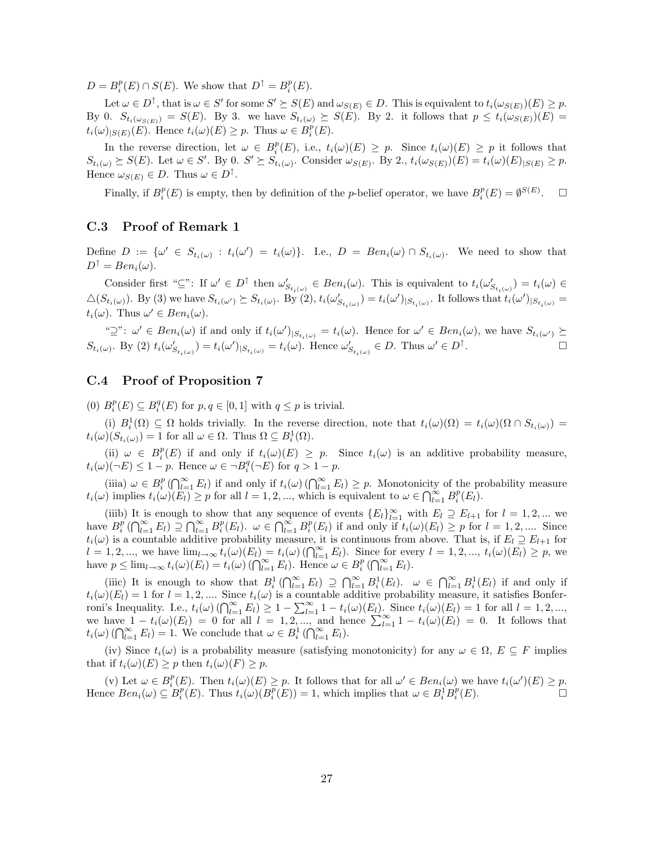$D = B_i^p(E) \cap S(E)$ . We show that  $D^{\uparrow} = B_i^p(E)$ .

Let  $\omega \in D^{\uparrow}$ , that is  $\omega \in S'$  for some  $S' \succeq S(E)$  and  $\omega_{S(E)} \in D$ . This is equivalent to  $t_i(\omega_{S(E)})(E) \geq p$ . By 0.  $S_{t_i(\omega_{S(E)})} = S(E)$ . By 3. we have  $S_{t_i(\omega)} \succeq S(E)$ . By 2. it follows that  $p \leq t_i(\omega_{S(E)})(E)$  $t_i(\omega)_{|S(E)}(E)$ . Hence  $t_i(\omega)(E) \geq p$ . Thus  $\omega \in B_i^p(E)$ .

In the reverse direction, let  $\omega \in B_i^p(E)$ , i.e.,  $t_i(\omega)(E) \geq p$ . Since  $t_i(\omega)(E) \geq p$  it follows that  $S_{t_i(\omega)} \succeq S(E)$ . Let  $\omega \in S'$ . By 0.  $S' \succeq S_{t_i(\omega)}$ . Consider  $\omega_{S(E)}$ . By 2.,  $t_i(\omega_{S(E)})(E) = t_i(\omega)(E)_{|S(E)} \geq p$ . Hence  $\omega_{S(E)} \in D$ . Thus  $\omega \in D^{\uparrow}$ .

Finally, if  $B_i^p(E)$  is empty, then by definition of the *p*-belief operator, we have  $B_i^p(E) = \emptyset^{S(E)}$  $\Box$ 

### C.3 Proof of Remark 1

Define  $D := \{ \omega' \in S_{t_i(\omega)} : t_i(\omega') = t_i(\omega) \}.$  I.e.,  $D = Ben_i(\omega) \cap S_{t_i(\omega)}$ . We need to show that  $D^{\uparrow} = Ben_i(\omega).$ 

Consider first " $\subseteq$ ": If  $\omega' \in D^{\uparrow}$  then  $\omega'_{S_{t_i(\omega)}} \in Ben_i(\omega)$ . This is equivalent to  $t_i(\omega'_{S_{t_i(\omega)}}) = t_i(\omega) \in$  $\Delta(S_{t_i(\omega)})$ . By (3) we have  $S_{t_i(\omega')}\succeq S_{t_i(\omega)}$ . By (2),  $t_i(\omega'_{S_{t_i(\omega)}})=t_i(\omega')_{|S_{t_i(\omega)}}$ . It follows that  $t_i(\omega')_{|S_{t_i(\omega)}}=$  $t_i(\omega)$ . Thus  $\omega' \in Ben_i(\omega)$ .

" $\supseteq$ ":  $\omega' \in Ben_i(\omega)$  if and only if  $t_i(\omega')|_{S_{t_i(\omega)}} = t_i(\omega)$ . Hence for  $\omega' \in Ben_i(\omega)$ , we have  $S_{t_i(\omega')}\succeq$  $S_{t_i(\omega)}$ . By (2)  $t_i(\omega'_{S_{t_i(\omega)}}) = t_i(\omega')_{|S_{t_i(\omega)}} = t_i(\omega)$ . Hence  $\omega'_{S_{t_i(\omega)}} \in D$ . Thus  $\omega' \in D^{\uparrow}$ .

### C.4 Proof of Proposition 7

(0)  $B_i^p(E) \subseteq B_i^q(E)$  for  $p, q \in [0, 1]$  with  $q \leq p$  is trivial.

(i)  $B_i^1(\Omega) \subseteq \Omega$  holds trivially. In the reverse direction, note that  $t_i(\omega)(\Omega) = t_i(\omega)(\Omega \cap S_{t_i(\omega)}) =$  $t_i(\omega)(S_{t_i(\omega)}) = 1$  for all  $\omega \in \Omega$ . Thus  $\Omega \subseteq B_i^1(\Omega)$ .

(ii)  $\omega \in B_i^p(E)$  if and only if  $t_i(\omega)(E) \geq p$ . Since  $t_i(\omega)$  is an additive probability measure,  $t_i(\omega)(\neg E) \leq 1-p$ . Hence  $\omega \in \neg B_i^q(\neg E)$  for  $q > 1-p$ .

(iiia)  $\omega \in B_i^p(\bigcap_{l=1}^{\infty} E_l)$  if and only if  $t_i(\omega)(\bigcap_{l=1}^{\infty} E_l) \geq p$ . Monotonicity of the probability measure  $t_i(\omega)$  implies  $t_i(\omega)(E_l) \geq p$  for all  $l = 1, 2, ...,$  which is equivalent to  $\omega \in \bigcap_{l=1}^{\infty} B_i^p(E_l)$ .

(iiib) It is enough to show that any sequence of events  ${E_l}_{l=1}^{\infty}$  with  $E_l \supseteq E_{l+1}$  for  $l = 1, 2, ...$  we have  $B_i^p(\bigcap_{l=1}^{\infty} E_l) \supseteq \bigcap_{l=1}^{\infty} B_i^p(E_l)$ .  $\omega \in \bigcap_{l=1}^{\infty} B_i^p(E_l)$  if and only if  $t_i(\omega)(E_l) \geq p$  for  $l = 1, 2, ...$  Since  $t_i(\omega)$  is a countable additive probability measure, it is continuous from above. That is, if  $E_l \supseteq E_{l+1}$  for  $l = 1, 2, ...,$  we have  $\lim_{l\to\infty} t_i(\omega)(E_l) = t_i(\omega) (\bigcap_{l=1}^{\infty} E_l)$ . Since for every  $l = 1, 2, ..., t_i(\omega)(E_l) \geq p$ , we have  $p \leq \lim_{l \to \infty} t_i(\omega)(E_l) = t_i(\omega) (\bigcap_{l=1}^{\infty} E_l)$ . Hence  $\omega \in B_i^p(\bigcap_{l=1}^{\infty} E_l)$ .

(iiic) It is enough to show that  $B_i^1(\bigcap_{l=1}^{\infty} E_l) \supseteq \bigcap_{l=1}^{\infty} B_i^1(E_l)$ .  $\omega \in \bigcap_{l=1}^{\infty} B_i^1(E_l)$  if and only if  $t_i(\omega)(E_l) = 1$  for  $l = 1, 2, ...$  Since  $t_i(\omega)$  is a countable additive probability measure, it satisfies Bonferroni's Inequality. I.e.,  $t_i(\omega)$   $(\bigcap_{l=1}^{\infty} E_l) \geq 1 - \sum_{l=1}^{\infty} 1 - t_i(\omega)(E_l)$ . Since  $t_i(\omega)(E_l) = 1$  for all  $l = 1, 2, ...,$ we have  $1-t_i(\omega)(E_l) = 0$  for all  $l = 1, 2, ...,$  and hence  $\sum_{l=1}^{\infty} 1-t_i(\omega)(E_l) = 0$ . It follows that  $t_i(\omega)$  ( $\bigcap_{l=1}^{\infty} E_l$ ) = 1. We conclude that  $\omega \in B_i^1$  ( $\bigcap_{l=1}^{\infty} E_l$ ).

(iv) Since  $t_i(\omega)$  is a probability measure (satisfying monotonicity) for any  $\omega \in \Omega$ ,  $E \subseteq F$  implies that if  $t_i(\omega)(E) \geq p$  then  $t_i(\omega)(F) \geq p$ .

(v) Let  $\omega \in B_i^p(E)$ . Then  $t_i(\omega)(E) \geq p$ . It follows that for all  $\omega' \in Ben_i(\omega)$  we have  $t_i(\omega')(E) \geq p$ . Hence  $Ben_i(\omega) \subseteq B_i^p(E)$ . Thus  $t_i(\omega)(B_i^p(E)) = 1$ , which implies that  $\omega \in B_i^1 B_i^p(E)$ .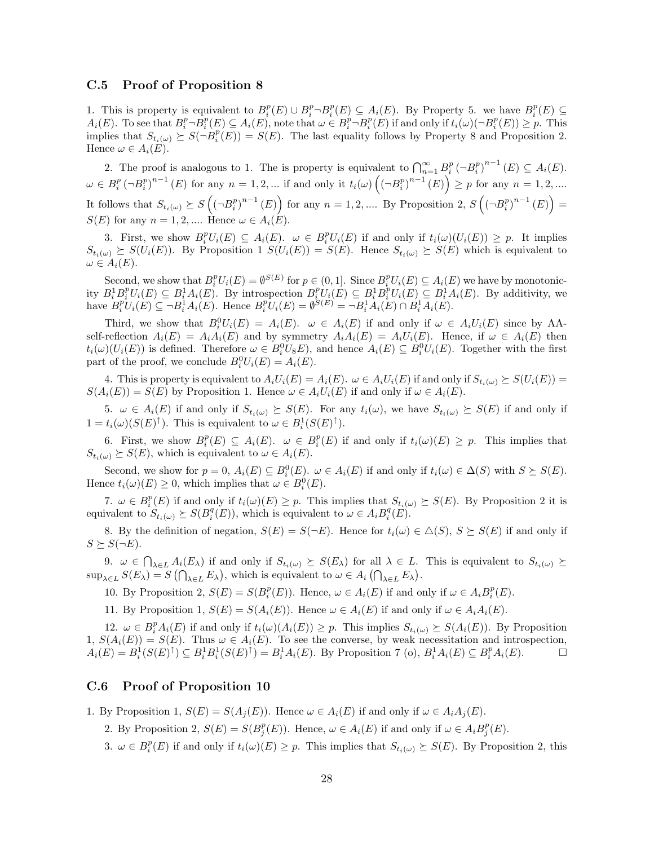### C.5 Proof of Proposition 8

1. This is property is equivalent to  $B_i^p(E) \cup B_i^p \neg B_i^p(E) \subseteq A_i(E)$ . By Property 5. we have  $B_i^p(E) \subseteq$  $A_i(E)$ . To see that  $B_i^p \neg B_i^p(E) \subseteq A_i(E)$ , note that  $\omega \in B_i^p \neg B_i^p(E)$  if and only if  $t_i(\omega)(\neg B_i^p(E)) \geq p$ . This implies that  $S_{t_i(\omega)} \succeq S(\neg B_i^p(E)) = S(E)$ . The last equality follows by Property 8 and Proposition 2. Hence  $\omega \in A_i(E)$ .

2. The proof is analogous to 1. The is property is equivalent to  $\bigcap_{n=1}^{\infty} B_i^p \left(\neg B_i^p\right)^{n-1}(E) \subseteq A_i(E)$ .  $\omega \in B_i^p \left(-B_i^p\right)^{n-1}(E)$  for any  $n = 1, 2, ...$  if and only it  $t_i(\omega) \left(\left(-B_i^p\right)^{n-1}(E)\right) \geq p$  for any  $n = 1, 2, ...$ It follows that  $S_{t_i(\omega)} \succeq S\left( (-B_i^p)^{n-1}(E) \right)$  for any  $n = 1, 2, \dots$  By Proposition 2,  $S\left( (-B_i^p)^{n-1}(E) \right) =$  $S(E)$  for any  $n = 1, 2, ...$  Hence  $\omega \in A_i(E)$ .

3. First, we show  $B_i^pU_i(E) \subseteq A_i(E)$ .  $\omega \in B_i^pU_i(E)$  if and only if  $t_i(\omega)(U_i(E)) \geq p$ . It implies  $S_{t_i(\omega)} \succeq S(U_i(E))$ . By Proposition 1  $S(U_i(E)) = S(E)$ . Hence  $S_{t_i(\omega)} \succeq S(E)$  which is equivalent to  $\omega \in A_i(E).$ 

Second, we show that  $B_i^p U_i(E) = \emptyset^{S(E)}$  for  $p \in (0, 1]$ . Since  $B_i^p U_i(E) \subseteq A_i(E)$  we have by monotonicity  $B_i^1 B_i^p U_i(E) \subseteq B_i^1 A_i(E)$ . By introspection  $B_i^p U_i(E) \subseteq B_i^1 B_i^p U_i(E) \subseteq B_i^1 A_i(E)$ . By additivity, we have  $B_i^p U_i(E) \subseteq \neg B_i^{\dagger} A_i(E)$ . Hence  $B_i^p U_i(E) = \emptyset^{S(E)} = \neg B_i^{\dagger} A_i(E) \cap B_i^{\dagger} A_i(E)$ .

Third, we show that  $B_i^0 U_i(E) = A_i(E)$ .  $\omega \in A_i(E)$  if and only if  $\omega \in A_i U_i(E)$  since by AAself-reflection  $A_i(E) = A_i A_i(E)$  and by symmetry  $A_i A_i(E) = A_i U_i(E)$ . Hence, if  $\omega \in A_i(E)$  then  $t_i(\omega)(U_i(E))$  is defined. Therefore  $\omega \in B_i^0 U_8 E$ , and hence  $A_i(E) \subseteq B_i^0 U_i(E)$ . Together with the first part of the proof, we conclude  $B_i^0 U_i(E) = A_i(E)$ .

4. This is property is equivalent to  $A_iU_i(E) = A_i(E)$ .  $\omega \in A_iU_i(E)$  if and only if  $S_{t_i(\omega)} \succeq S(U_i(E))$  $S(A_i(E)) = S(E)$  by Proposition 1. Hence  $\omega \in A_i U_i(E)$  if and only if  $\omega \in A_i(E)$ .

5.  $\omega \in A_i(E)$  if and only if  $S_{t_i(\omega)} \succeq S(E)$ . For any  $t_i(\omega)$ , we have  $S_{t_i(\omega)} \succeq S(E)$  if and only if  $1 = t_i(\omega)(S(E)^{\uparrow})$ . This is equivalent to  $\omega \in B_i^1(S(E)^{\uparrow})$ .

6. First, we show  $B_i^p(E) \subseteq A_i(E)$ .  $\omega \in B_i^p(E)$  if and only if  $t_i(\omega)(E) \geq p$ . This implies that  $S_{t_i(\omega)} \succeq S(E)$ , which is equivalent to  $\omega \in A_i(E)$ .

Second, we show for  $p = 0$ ,  $A_i(E) \subseteq B_i^0(E)$ .  $\omega \in A_i(E)$  if and only if  $t_i(\omega) \in \Delta(S)$  with  $S \succeq S(E)$ . Hence  $t_i(\omega)(E) \geq 0$ , which implies that  $\omega \in B_i^0(E)$ .

7.  $\omega \in B_i^p(E)$  if and only if  $t_i(\omega)(E) \geq p$ . This implies that  $S_{t_i(\omega)} \succeq S(E)$ . By Proposition 2 it is equivalent to  $S_{t_i(\omega)} \succeq S(B_i^q(E))$ , which is equivalent to  $\omega \in A_i B_i^q(E)$ .

8. By the definition of negation,  $S(E) = S(\neg E)$ . Hence for  $t_i(\omega) \in \Delta(S)$ ,  $S \succeq S(E)$  if and only if  $S \succeq S(\neg E).$ 

9.  $\omega \in \bigcap_{\lambda \in L} A_i(E_\lambda)$  if and only if  $S_{t_i(\omega)} \succeq S(E_\lambda)$  for all  $\lambda \in L$ . This is equivalent to  $S_{t_i(\omega)} \succeq$  $\sup_{\lambda \in L} S(E_{\lambda}) = S(\bigcap_{\lambda \in L} E_{\lambda}),$  which is equivalent to  $\omega \in A_i(\bigcap_{\lambda \in L} E_{\lambda}).$ 

10. By Proposition 2,  $S(E) = S(B_i^p(E))$ . Hence,  $\omega \in A_i(E)$  if and only if  $\omega \in A_i B_i^p(E)$ .

11. By Proposition 1,  $S(E) = S(A_i(E))$ . Hence  $\omega \in A_i(E)$  if and only if  $\omega \in A_iA_i(E)$ .

12.  $\omega \in B_i^p A_i(E)$  if and only if  $t_i(\omega)(A_i(E)) \geq p$ . This implies  $S_{t_i(\omega)} \succeq S(A_i(E))$ . By Proposition 1,  $S(A_i(E)) = S(E)$ . Thus  $\omega \in A_i(E)$ . To see the converse, by weak necessitation and introspection,  $A_i(E) = B_i^1(S(E)^{\uparrow}) \subseteq B_i^1 B_i^1(S(E)^{\uparrow}) = B_i^1 A_i(E)$ . By Proposition 7 (o),  $B_i^1 A_i(E) \subseteq B_i^p A_i(E)$ .

### C.6 Proof of Proposition 10

1. By Proposition 1,  $S(E) = S(A_i(E))$ . Hence  $\omega \in A_i(E)$  if and only if  $\omega \in A_iA_i(E)$ .

- 2. By Proposition 2,  $S(E) = S(B_j^p(E))$ . Hence,  $\omega \in A_i(E)$  if and only if  $\omega \in A_i B_j^p(E)$ .
- 3.  $\omega \in B_i^p(E)$  if and only if  $t_i(\omega)(E) \geq p$ . This implies that  $S_{t_i(\omega)} \succeq S(E)$ . By Proposition 2, this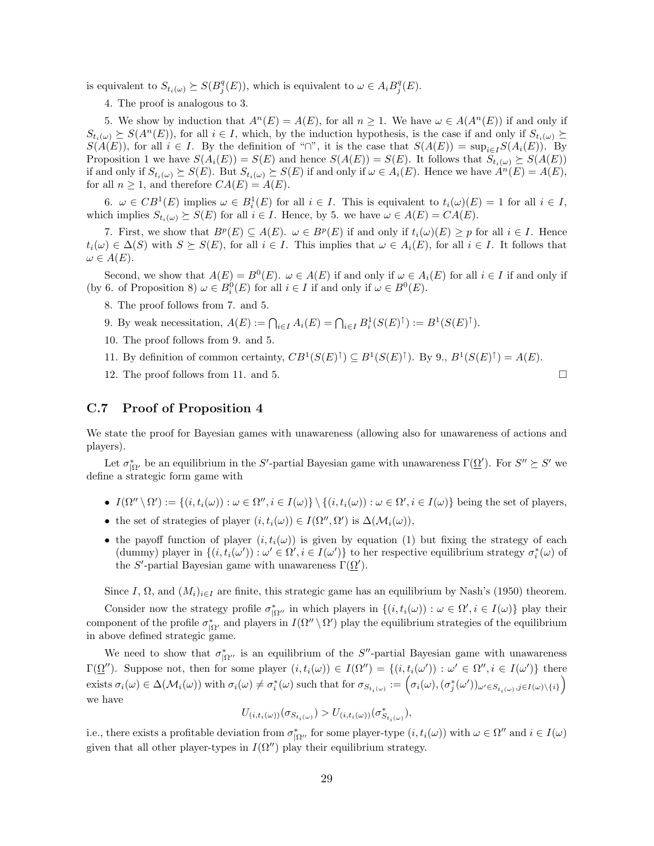is equivalent to  $S_{t_i(\omega)} \succeq S(B_j^q(E))$ , which is equivalent to  $\omega \in A_i B_j^q(E)$ .

4. The proof is analogous to 3.

5. We show by induction that  $A^n(E) = A(E)$ , for all  $n > 1$ . We have  $\omega \in A(A^n(E))$  if and only if  $S_{t_i(\omega)} \succeq S(A^n(E))$ , for all  $i \in I$ , which, by the induction hypothesis, is the case if and only if  $S_{t_i(\omega)} \succeq$  $S(A(E))$ , for all  $i \in I$ . By the definition of "∩", it is the case that  $S(A(E)) = \sup_{i \in I} S(A_i(E))$ . By Proposition 1 we have  $S(A_i(E)) = S(E)$  and hence  $S(A(E)) = S(E)$ . It follows that  $S_{t_i(\omega)} \succeq S(A(E))$ if and only if  $S_{t_i(\omega)} \succeq S(E)$ . But  $S_{t_i(\omega)} \succeq S(E)$  if and only if  $\omega \in A_i(E)$ . Hence we have  $A^n(E) = A(E)$ , for all  $n \geq 1$ , and therefore  $CA(E) = A(E)$ .

6.  $\omega \in CB^1(E)$  implies  $\omega \in B_i^1(E)$  for all  $i \in I$ . This is equivalent to  $t_i(\omega)(E) = 1$  for all  $i \in I$ , which implies  $S_{t_i(\omega)} \succeq S(E)$  for all  $i \in I$ . Hence, by 5. we have  $\omega \in A(E) = CA(E)$ .

7. First, we show that  $B^p(E) \subseteq A(E)$ .  $\omega \in B^p(E)$  if and only if  $t_i(\omega)(E) \geq p$  for all  $i \in I$ . Hence  $t_i(\omega) \in \Delta(S)$  with  $S \succeq S(E)$ , for all  $i \in I$ . This implies that  $\omega \in A_i(E)$ , for all  $i \in I$ . It follows that  $\omega \in A(E).$ 

Second, we show that  $A(E) = B^0(E)$ .  $\omega \in A(E)$  if and only if  $\omega \in A_i(E)$  for all  $i \in I$  if and only if (by 6. of Proposition 8)  $\omega \in B_i^0(E)$  for all  $i \in I$  if and only if  $\omega \in B^0(E)$ .

- 8. The proof follows from 7. and 5.
- 9. By weak necessitation,  $A(E) := \bigcap_{i \in I} A_i(E) = \bigcap_{i \in I} B_i^1(S(E)^{\uparrow}) := B^1(S(E)^{\uparrow}).$
- 10. The proof follows from 9. and 5.
- 11. By definition of common certainty,  $CB^1(S(E)^{\uparrow}) \subseteq B^1(S(E)^{\uparrow})$ . By 9.,  $B^1(S(E)^{\uparrow}) = A(E)$ .
- 12. The proof follows from 11. and 5.

### C.7 Proof of Proposition 4

We state the proof for Bayesian games with unawareness (allowing also for unawareness of actions and players).

Let  $\sigma_{|\Omega'}^*$  be an equilibrium in the S'-partial Bayesian game with unawareness  $\Gamma(\underline{\Omega'})$ . For  $S'' \succeq S'$  we define a strategic form game with

- $I(\Omega'' \setminus \Omega') := \{(i, t_i(\omega)) : \omega \in \Omega'', i \in I(\omega)\} \setminus \{(i, t_i(\omega)) : \omega \in \Omega', i \in I(\omega)\}$  being the set of players,
- the set of strategies of player  $(i, t_i(\omega)) \in I(\Omega'', \Omega')$  is  $\Delta(\mathcal{M}_i(\omega)),$
- the payoff function of player  $(i, t_i(\omega))$  is given by equation (1) but fixing the strategy of each (dummy) player in  $\{(i, t_i(\omega')) : \omega' \in \Omega', i \in I(\omega')\}$  to her respective equilibrium strategy  $\sigma_i^*(\omega)$  of the S'-partial Bayesian game with unawareness  $\Gamma(\Omega')$ .

Since I,  $\Omega$ , and  $(M_i)_{i\in I}$  are finite, this strategic game has an equilibrium by Nash's (1950) theorem.

Consider now the strategy profile  $\sigma_{|\Omega''}^*$  in which players in  $\{(i, t_i(\omega)) : \omega \in \Omega', i \in I(\omega)\}\$  play their component of the profile  $\sigma_{\vert \Omega'}^*$  and players in  $I(\Omega'' \setminus \Omega')$  play the equilibrium strategies of the equilibrium in above defined strategic game.

We need to show that  $\sigma_{|\Omega|}^*$  is an equilibrium of the S''-partial Bayesian game with unawareness  $\Gamma(\underline{\Omega}'')$ . Suppose not, then for some player  $(i, t_i(\omega)) \in I(\Omega'') = \{(i, t_i(\omega')) : \omega' \in \Omega'', i \in I(\omega')\}$  there exists  $\sigma_i(\omega) \in \Delta(\mathcal{M}_i(\omega))$  with  $\sigma_i(\omega) \neq \sigma_i^*(\omega)$  such that for  $\sigma_{S_{t_i(\omega)}} := \Big(\sigma_i(\omega), (\sigma_j^*(\omega'))_{\omega' \in S_{t_i(\omega)}, j \in I(\omega) \setminus \{i\}}\Big)$ we have

$$
U_{(i,t_i(\omega))}(\sigma_{S_{t_i(\omega)}})>U_{(i,t_i(\omega))}(\sigma^*_{S_{t_i(\omega)}}),
$$

i.e., there exists a profitable deviation from  $\sigma_{|\Omega|}^*$  for some player-type  $(i, t_i(\omega))$  with  $\omega \in \Omega''$  and  $i \in I(\omega)$ given that all other player-types in  $I(\Omega'')$  play their equilibrium strategy.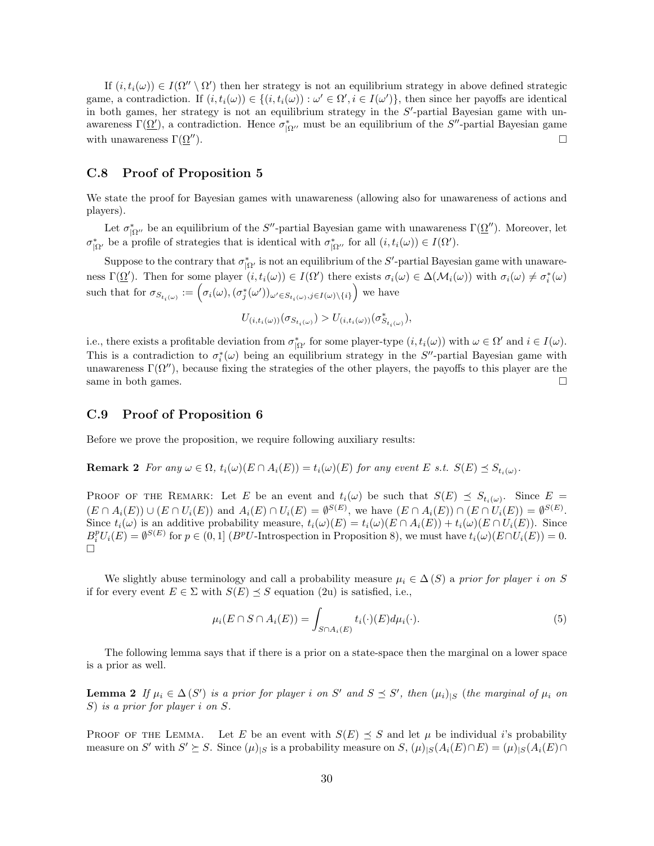If  $(i, t_i(\omega)) \in I(\Omega'' \setminus \Omega')$  then her strategy is not an equilibrium strategy in above defined strategic game, a contradiction. If  $(i, t_i(\omega)) \in \{(i, t_i(\omega)) : \omega' \in \Omega', i \in I(\omega')\}$ , then since her payoffs are identical in both games, her strategy is not an equilibrium strategy in the  $S'$ -partial Bayesian game with unawareness  $\Gamma(\underline{\Omega'})$ , a contradiction. Hence  $\sigma_{|\Omega''|}^*$  must be an equilibrium of the S''-partial Bayesian game with unawareness  $\Gamma(\Omega'')$ .

### C.8 Proof of Proposition 5

We state the proof for Bayesian games with unawareness (allowing also for unawareness of actions and players).

Let  $\sigma_{|\Omega|}^*$  be an equilibrium of the S''-partial Bayesian game with unawareness  $\Gamma(\underline{\Omega}'')$ . Moreover, let  $\sigma_{|\Omega'}^*$  be a profile of strategies that is identical with  $\sigma_{|\Omega''}^*$  for all  $(i, t_i(\omega)) \in I(\Omega').$ 

Suppose to the contrary that  $\sigma_{|\Omega'}^*$  is not an equilibrium of the S'-partial Bayesian game with unawareness  $\Gamma(\underline{\Omega}')$ . Then for some player  $(i, t_i(\omega)) \in I(\Omega')$  there exists  $\sigma_i(\omega) \in \Delta(\mathcal{M}_i(\omega))$  with  $\sigma_i(\omega) \neq \sigma_i^*(\omega)$ such that for  $\sigma_{S_{t_i(\omega)}} := \left(\sigma_i(\omega), (\sigma_j^*(\omega'))_{\omega' \in S_{t_i(\omega)}, j \in I(\omega) \setminus \{i\}}\right)$  we have

 $U_{(i,t_i(\omega))}(\sigma_{S_{t_i(\omega)}}) > U_{(i,t_i(\omega))}(\sigma_{S_{t_i(\omega)}}^*),$ 

i.e., there exists a profitable deviation from  $\sigma_{|\Omega|}^*$  for some player-type  $(i, t_i(\omega))$  with  $\omega \in \Omega'$  and  $i \in I(\omega)$ . This is a contradiction to  $\sigma_i^*(\omega)$  being an equilibrium strategy in the S''-partial Bayesian game with unawareness  $\Gamma(\Omega'')$ , because fixing the strategies of the other players, the payoffs to this player are the same in both games.  $\square$ 

### C.9 Proof of Proposition 6

Before we prove the proposition, we require following auxiliary results:

**Remark 2** For any  $\omega \in \Omega$ ,  $t_i(\omega)(E \cap A_i(E)) = t_i(\omega)(E)$  for any event E s.t.  $S(E) \preceq S_{t_i(\omega)}$ .

PROOF OF THE REMARK: Let E be an event and  $t_i(\omega)$  be such that  $S(E) \preceq S_{t_i(\omega)}$ . Since  $E =$  $(E \cap A_i(E)) \cup (E \cap U_i(E))$  and  $A_i(E) \cap U_i(E) = \emptyset^{S(E)}$ , we have  $(E \cap A_i(E)) \cap (E \cap U_i(E)) = \emptyset^{S(E)}$ . Since  $t_i(\omega)$  is an additive probability measure,  $t_i(\omega)(E) = t_i(\omega)(E \cap A_i(E)) + t_i(\omega)(E \cap U_i(E))$ . Since  $B_i^p U_i(E) = \emptyset^{S(E)}$  for  $p \in (0,1]$  ( $B^p U$ -Introspection in Proposition 8), we must have  $t_i(\omega)(E \cap U_i(E)) = 0$ .  $\Box$ 

We slightly abuse terminology and call a probability measure  $\mu_i \in \Delta(S)$  a prior for player i on S if for every event  $E \in \Sigma$  with  $S(E) \preceq S$  equation (2u) is satisfied, i.e.,

$$
\mu_i(E \cap S \cap A_i(E)) = \int_{S \cap A_i(E)} t_i(\cdot)(E) d\mu_i(\cdot). \tag{5}
$$

The following lemma says that if there is a prior on a state-space then the marginal on a lower space is a prior as well.

**Lemma 2** If  $\mu_i \in \Delta(S')$  is a prior for player i on S' and  $S \preceq S'$ , then  $(\mu_i)_{|S}$  (the marginal of  $\mu_i$  on S) is a prior for player i on S.

PROOF OF THE LEMMA. Let E be an event with  $S(E) \preceq S$  and let  $\mu$  be individual i's probability measure on S' with  $S' \succeq S$ . Since  $(\mu)_{|S}$  is a probability measure on  $S$ ,  $(\mu)_{|S}(A_i(E) \cap E) = (\mu)_{|S}(A_i(E) \cap E)$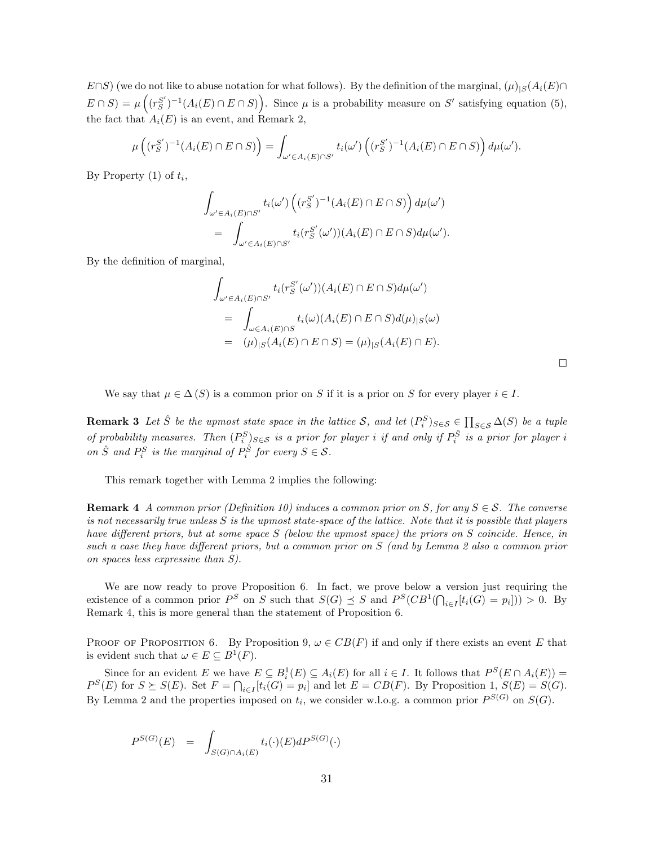$E\cap S$ ) (we do not like to abuse notation for what follows). By the definition of the marginal,  $(\mu)_{|S}(A_i(E)\cap$  $E \cap S$  =  $\mu\left((r_S^{S'})^{-1}(A_i(E) \cap E \cap S)\right)$ . Since  $\mu$  is a probability measure on S' satisfying equation (5), the fact that  $A_i(E)$  is an event, and Remark 2,

$$
\mu\left((r_S^{S'})^{-1}(A_i(E)\cap E\cap S)\right)=\int_{\omega'\in A_i(E)\cap S'}t_i(\omega')\left((r_S^{S'})^{-1}(A_i(E)\cap E\cap S)\right)d\mu(\omega').
$$

By Property  $(1)$  of  $t_i$ ,

$$
\int_{\omega' \in A_i(E) \cap S'} t_i(\omega') \left( (r_S^{S'})^{-1} (A_i(E) \cap E \cap S) \right) d\mu(\omega')
$$
  
= 
$$
\int_{\omega' \in A_i(E) \cap S'} t_i(r_S^{S'}(\omega')) (A_i(E) \cap E \cap S) d\mu(\omega').
$$

By the definition of marginal,

$$
\int_{\omega' \in A_i(E) \cap S'} t_i(r_S^{S'}(\omega')) (A_i(E) \cap E \cap S) d\mu(\omega')
$$
  
= 
$$
\int_{\omega \in A_i(E) \cap S} t_i(\omega) (A_i(E) \cap E \cap S) d(\mu)_{|S}(\omega)
$$
  
= 
$$
(\mu)_{|S} (A_i(E) \cap E \cap S) = (\mu)_{|S} (A_i(E) \cap E).
$$

We say that  $\mu \in \Delta(S)$  is a common prior on S if it is a prior on S for every player  $i \in I$ .

**Remark 3** Let  $\hat{S}$  be the upmost state space in the lattice S, and let  $(P_i^S)_{S \in S} \in \prod_{S \in S} \Delta(S)$  be a tuple of probability measures. Then  $(P_i^S)_{S \in S}$  is a prior for player i if and only if  $P_i^{\hat{S}}$  is a prior for player i on  $\hat{S}$  and  $P_i^S$  is the marginal of  $P_i^{\hat{S}}$  for every  $S \in \mathcal{S}$ .

This remark together with Lemma 2 implies the following:

**Remark 4** A common prior (Definition 10) induces a common prior on S, for any  $S \in \mathcal{S}$ . The converse is not necessarily true unless  $S$  is the upmost state-space of the lattice. Note that it is possible that players have different priors, but at some space S (below the upmost space) the priors on S coincide. Hence, in such a case they have different priors, but a common prior on S (and by Lemma 2 also a common prior on spaces less expressive than S).

We are now ready to prove Proposition 6. In fact, we prove below a version just requiring the existence of a common prior  $P^S$  on S such that  $S(G) \preceq S$  and  $P^S(CB^1(\bigcap_{i \in I} [t_i(G) = p_i])) > 0$ . By Remark 4, this is more general than the statement of Proposition 6.

PROOF OF PROPOSITION 6. By Proposition 9,  $\omega \in CB(F)$  if and only if there exists an event E that is evident such that  $\omega \in E \subseteq B^1(F)$ .

Since for an evident E we have  $E \subseteq B_i^1(E) \subseteq A_i(E)$  for all  $i \in I$ . It follows that  $P^S(E \cap A_i(E)) =$  $P^{S}(E)$  for  $S \succeq S(E)$ . Set  $F = \bigcap_{i \in I} [t_i(G) = p_i]$  and let  $E = CB(F)$ . By Proposition 1,  $S(E) = S(G)$ . By Lemma 2 and the properties imposed on  $t_i$ , we consider w.l.o.g. a common prior  $P^{S(G)}$  on  $S(G)$ .

$$
P^{S(G)}(E) = \int_{S(G)\cap A_i(E)} t_i(\cdot)(E)dP^{S(G)}(\cdot)
$$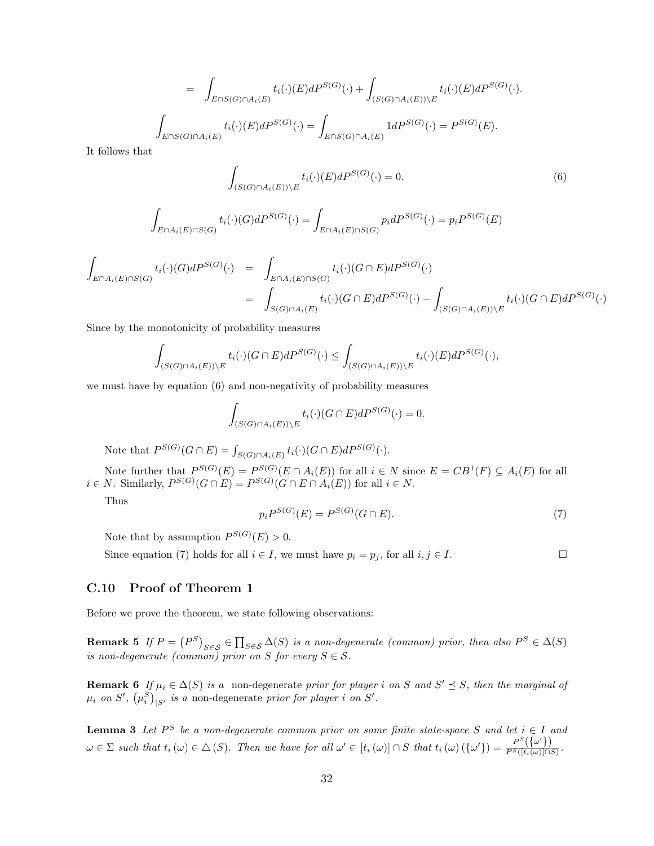$$
= \int_{E \cap S(G) \cap A_i(E)} t_i(\cdot)(E) dP^{S(G)}(\cdot) + \int_{(S(G) \cap A_i(E)) \backslash E} t_i(\cdot)(E) dP^{S(G)}(\cdot).
$$

$$
\int_{E \cap S(G) \cap A_i(E)} t_i(\cdot)(E) dP^{S(G)}(\cdot) = \int_{E \cap S(G) \cap A_i(E)} 1 dP^{S(G)}(\cdot) = P^{S(G)}(E).
$$

It follows that

$$
\int_{(S(G)\cap A_i(E))\backslash E} t_i(\cdot)(E)dP^{S(G)}(\cdot) = 0.
$$
\n(6)

$$
\int_{E \cap A_i(E) \cap S(G)} t_i(\cdot)(G) dP^{S(G)}(\cdot) = \int_{E \cap A_i(E) \cap S(G)} p_i dP^{S(G)}(\cdot) = p_i P^{S(G)}(E)
$$

$$
\int_{E \cap A_i(E) \cap S(G)} t_i(\cdot)(G) dP^{S(G)}(\cdot) = \int_{E \cap A_i(E) \cap S(G)} t_i(\cdot)(G \cap E) dP^{S(G)}(\cdot)
$$
\n
$$
= \int_{S(G) \cap A_i(E)} t_i(\cdot)(G \cap E) dP^{S(G)}(\cdot) - \int_{(S(G) \cap A_i(E)) \backslash E} t_i(\cdot)(G \cap E) dP^{S(G)}(\cdot)
$$

Since by the monotonicity of probability measures

$$
\int_{(S(G)\cap A_i(E))\backslash E} t_i(\cdot)(G\cap E)dP^{S(G)}(\cdot) \leq \int_{(S(G)\cap A_i(E))\backslash E} t_i(\cdot)(E)dP^{S(G)}(\cdot),
$$

we must have by equation (6) and non-negativity of probability measures

$$
\int_{(S(G)\cap A_i(E))\backslash E} t_i(\cdot)(G\cap E)dP^{S(G)}(\cdot)=0.
$$

Note that  $P^{S(G)}(G \cap E) = \int_{S(G) \cap A_i(E)} t_i(\cdot)(G \cap E) dP^{S(G)}(\cdot).$ 

Note further that  $P^{S(G)}(E) = P^{S(G)}(E \cap A_i(E))$  for all  $i \in N$  since  $E = CB^1(F) \subseteq A_i(E)$  for all  $i \in N$ . Similarly,  $P^{S(G)}(G \cap E) = P^{S(G)}(G \cap E \cap A_i(E))$  for all  $i \in N$ .

Thus

$$
p_i P^{S(G)}(E) = P^{S(G)}(G \cap E). \tag{7}
$$

Note that by assumption  $P^{S(G)}(E) > 0$ .

Since equation (7) holds for all  $i \in I$ , we must have  $p_i = p_j$ , for all  $i, j \in I$ .

### C.10 Proof of Theorem 1

Before we prove the theorem, we state following observations:

**Remark 5** If  $P = (P^S)_{S \in \mathcal{S}} \in \prod_{S \in \mathcal{S}} \Delta(S)$  is a non-degenerate (common) prior, then also  $P^S \in \Delta(S)$ is non-degenerate (common) prior on S for every  $S \in \mathcal{S}$ .

**Remark 6** If  $\mu_i \in \Delta(S)$  is a non-degenerate prior for player i on S and  $S' \preceq S$ , then the marginal of  $\mu_i$  on S',  $(\mu_i^S)_{|S'}$  is a non-degenerate prior for player i on S'.

**Lemma 3** Let  $P^S$  be a non-degenerate common prior on some finite state-space S and let  $i \in I$  and  $\omega \in \Sigma$  such that  $t_i(\omega) \in \Delta(S)$ . Then we have for all  $\omega' \in [t_i(\omega)] \cap S$  that  $t_i(\omega) (\{\omega'\}) = \frac{P^S(\{\omega'\})}{P^S(\{t_i(\omega)\}\cap S)}$  $\frac{1}{P^S([t_i(\omega)] \cap S)}$ .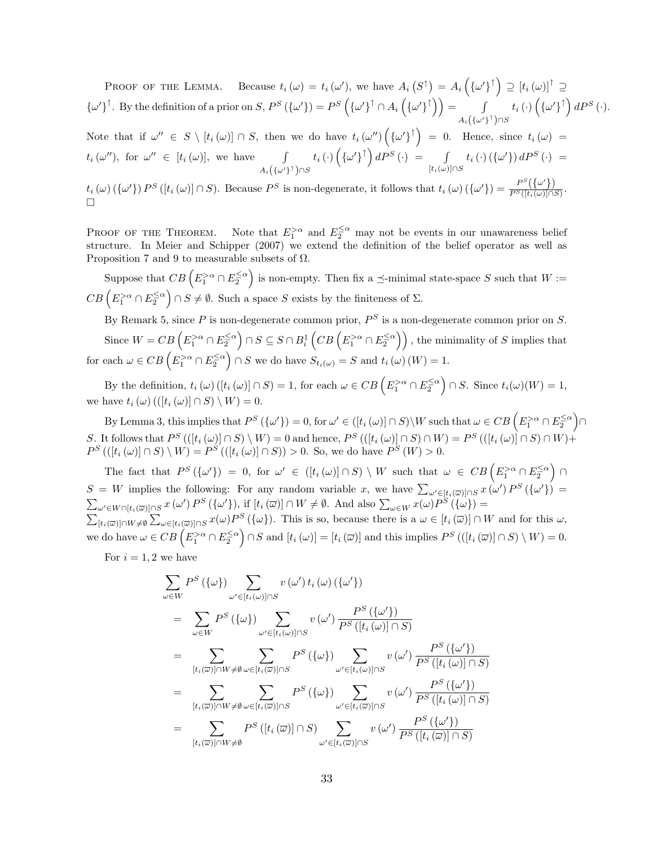PROOF OF THE LEMMA. Because  $t_i(\omega) = t_i(\omega')$ , we have  $A_i(S^{\uparrow}) = A_i(\{\omega'\}^{\uparrow}) \supseteq [t_i(\omega)]^{\uparrow} \supseteq$  $\{\omega'\}^{\uparrow}$ . By the definition of a prior on S,  $P^{S}(\{\omega'\}) = P^{S}(\{\omega'\}^{\uparrow} \cap A_{i}(\{\omega'\}^{\uparrow}) ) =$  $A_i\big(\{\omega'\}^\uparrow\big)\cap S$  $t_{i} \left(\cdot\right) \left(\{\omega'\}^{\uparrow}\right) d P^{S}\left(\cdot\right).$ 

Note that if  $\omega'' \in S \setminus [t_i(\omega)] \cap S$ , then we do have  $t_i(\omega'')(\{\omega'\}^{\uparrow}) = 0$ . Hence, since  $t_i(\omega) =$  $t_i(\omega'')$ , for  $\omega'' \in [t_i(\omega)]$ , we have  $\int$  $A_i\big(\{\omega'\}^\uparrow\big)\cap S$  $t_i\left(\cdot\right)\left(\left\{\omega'\right\}^\uparrow\right)dP^S\left(\cdot\right)$  =  $\qquad\int$  $[t_i(\omega)] \cap S$  $t_i\left(\cdot\right)\left(\left\{\omega'\right\}\right)dP^S\left(\cdot\right)$  =  $t_i(\omega) (\{\omega'\}) P^S([t_i(\omega)] \cap S)$ . Because  $P^S$  is non-degenerate, it follows that  $t_i(\omega) (\{\omega'\}) = \frac{P^S([\{\omega'\})}{P^S([t_i(\omega)]) \cap S}$  $v_i(\omega)$  ( $\sqrt{\omega}$  f) 1 ([ $v_i(\omega)$ ] ( $\nu$ ), Decause 1 is non-degenerate, it follows that  $v_i(\omega)$  ( $\sqrt{\omega}$  f)  $-\overline{P^S([t_i(\omega)]\cap S)}$ .

PROOF OF THE THEOREM.  $\frac{1}{2}$  and  $E_2^{\leq \alpha}$  may not be events in our unawareness belief structure. In Meier and Schipper (2007) we extend the definition of the belief operator as well as Proposition 7 and 9 to measurable subsets of  $\Omega$ .

Suppose that  $CB\left(E_1^{>\alpha} \cap E_2^{\leq \alpha}\right)$  is non-empty. Then fix a  $\preceq$ -minimal state-space S such that  $W :=$  $CB\left(E_1^{>\alpha} \cap E_2^{\leq \alpha}\right) \cap S \neq \emptyset$ . Such a space S exists by the finiteness of  $\Sigma$ .

By Remark 5, since P is non-degenerate common prior,  $P^S$  is a non-degenerate common prior on S. Since  $W = CB \left( E_1^{>\alpha} \cap E_2^{\leq \alpha} \right) \cap S \subseteq S \cap B_i^1 \left( CB \left( E_1^{>\alpha} \cap E_2^{\leq \alpha} \right) \right)$ , the minimality of S implies that for each  $\omega \in CB \left( E_1^{>\alpha} \cap E_2^{\leq \alpha} \right) \cap S$  we do have  $S_{t_i(\omega)} = S$  and  $t_i(\omega)(W) = 1$ .

By the definition,  $t_i(\omega)$   $([t_i(\omega)] \cap S) = 1$ , for each  $\omega \in CB \left( E_1^{>\alpha} \cap E_2^{\leq \alpha} \right) \cap S$ . Since  $t_i(\omega)(W) = 1$ , we have  $t_i(\omega)$  (([ $t_i(\omega)$ ]  $\cap S$ ) \  $W$ ) = 0.

By Lemma 3, this implies that  $P^S(\{\omega'\}) = 0$ , for  $\omega' \in ([t_i(\omega)] \cap S) \setminus W$  such that  $\omega \in CB \left(E_1^{>\alpha} \cap E_2^{\leq \alpha}\right) \cap$ S. It follows that  $P^{S}(([t_i(\omega)] \cap S) \setminus W) = 0$  and hence,  $P^{S}(([t_i(\omega)] \cap S) \cap W) = P^{S}(([t_i(\omega)] \cap S) \cap W) +$  $P^{S}((t_i(\omega) \cap S) \setminus W) = P^{S}((t_i(\omega) \cap S)) > 0$ . So, we do have  $P^{S}(W) > 0$ .

The fact that  $P^S(\{\omega'\}) = 0$ , for  $\omega' \in ([t_i(\omega)] \cap S) \setminus W$  such that  $\omega \in CB \left(E_1^{>\alpha} \cap E_2^{\leq \alpha}\right) \cap$  $S = W$  implies the following: For any random variable x, we have  $\sum_{\omega' \in [t_i(\overline{\omega})] \cap S} x(\omega') P^S(\{\omega'\}) =$  $\sum_{\omega' \in W \cap [t_i(\overline{\omega})] \cap S} x(\omega') P^S(\{\omega'\}),$  if  $[t_i(\overline{\omega})] \cap W \neq \emptyset$ . And also  $\sum_{\omega \in W} x(\omega) P^S(\{\omega\}) =$  $\sum_{[t_i(\overline{\omega})] \cap W \neq \emptyset} \sum_{\omega \in [t_i(\overline{\omega})] \cap S} x(\omega) P^S(\{\omega\}).$  This is so, because there is a  $\omega \in [t_i(\overline{\omega})] \cap W$  and for this  $\omega$ , we do have  $\omega \in CB\left(E_1^{>\alpha} \cap E_2^{\leq \alpha}\right) \cap S$  and  $[t_i(\omega)] = [t_i(\overline{\omega})]$  and this implies  $P^S\left(\left([t_i(\overline{\omega})] \cap S\right) \setminus W\right) = 0$ .

For  $i = 1, 2$  we have

$$
\sum_{\omega \in W} P^{S}(\{\omega\}) \sum_{\omega' \in [t_i(\omega)] \cap S} v(\omega') t_i(\omega) (\{\omega'\})
$$
\n
$$
= \sum_{\omega \in W} P^{S}(\{\omega\}) \sum_{\omega' \in [t_i(\omega)] \cap S} v(\omega') \frac{P^{S}(\{\omega'\})}{P^{S}([t_i(\omega)] \cap S)}
$$
\n
$$
= \sum_{[t_i(\overline{\omega})] \cap W \neq \emptyset} \sum_{\omega \in [t_i(\overline{\omega})] \cap S} P^{S}(\{\omega\}) \sum_{\omega' \in [t_i(\omega)] \cap S} v(\omega') \frac{P^{S}(\{\omega'\})}{P^{S}([t_i(\omega)] \cap S)}
$$
\n
$$
= \sum_{[t_i(\overline{\omega})] \cap W \neq \emptyset} \sum_{\omega \in [t_i(\overline{\omega})] \cap S} P^{S}(\{\omega\}) \sum_{\omega' \in [t_i(\overline{\omega})] \cap S} v(\omega') \frac{P^{S}(\{\omega'\})}{P^{S}([t_i(\omega)] \cap S)}
$$
\n
$$
= \sum_{[t_i(\overline{\omega})] \cap W \neq \emptyset} P^{S}([t_i(\overline{\omega})] \cap S) \sum_{\omega' \in [t_i(\overline{\omega})] \cap S} v(\omega') \frac{P^{S}(\{\omega'\})}{P^{S}([t_i(\overline{\omega})] \cap S)}
$$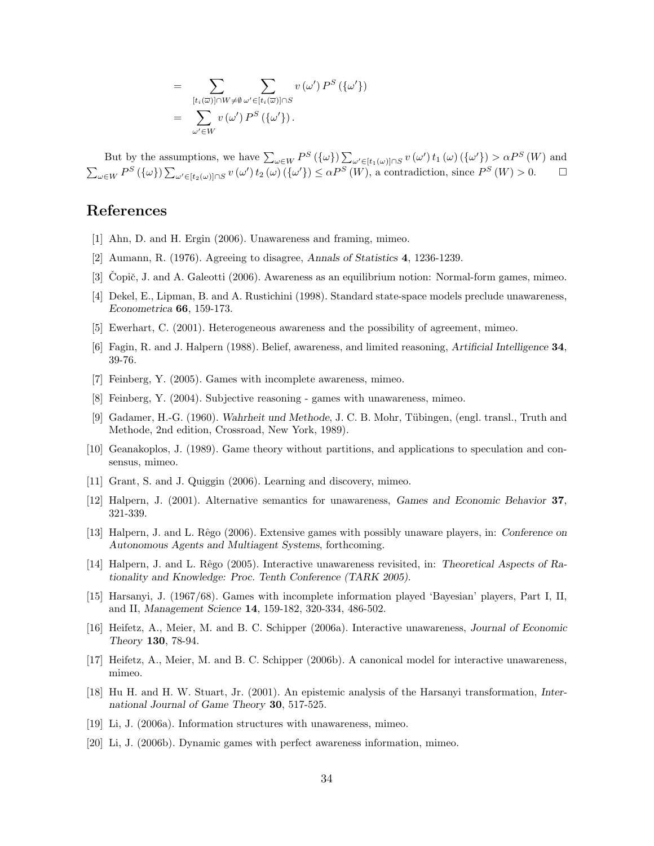$$
= \sum_{[t_i(\overline{\omega})] \cap W \neq \emptyset} \sum_{\omega' \in [t_i(\overline{\omega})] \cap S} v(\omega') P^S(\{\omega'\})
$$

$$
= \sum_{\omega' \in W} v(\omega') P^S(\{\omega'\}).
$$

But by the assumptions, we have  $\sum_{\omega \in W} P^S(\{\omega\}) \sum_{\omega' \in [t_1(\omega)] \cap S} v(\omega') t_1(\omega) (\{\omega'\}) > \alpha P^S(W)$  and  $\sum_{\omega \in W} P^{S}(\{\omega\}) \sum_{\omega' \in [t_2(\omega)] \cap S} v(\omega') t_2(\omega) (\{\omega'\}) \leq \alpha P^{S}(W)$ , a contradiction, since  $P^{S}(W) > 0$ .  $\Box$ 

## References

- [1] Ahn, D. and H. Ergin (2006). Unawareness and framing, mimeo.
- [2] Aumann, R. (1976). Agreeing to disagree, Annals of Statistics 4, 1236-1239.
- [3] Copič, J. and A. Galeotti  $(2006)$ . Awareness as an equilibrium notion: Normal-form games, mimeo.
- [4] Dekel, E., Lipman, B. and A. Rustichini (1998). Standard state-space models preclude unawareness, Econometrica 66, 159-173.
- [5] Ewerhart, C. (2001). Heterogeneous awareness and the possibility of agreement, mimeo.
- [6] Fagin, R. and J. Halpern (1988). Belief, awareness, and limited reasoning, Artificial Intelligence 34, 39-76.
- [7] Feinberg, Y. (2005). Games with incomplete awareness, mimeo.
- [8] Feinberg, Y. (2004). Subjective reasoning games with unawareness, mimeo.
- [9] Gadamer, H.-G. (1960). Wahrheit und Methode, J. C. B. Mohr, Tübingen, (engl. transl., Truth and Methode, 2nd edition, Crossroad, New York, 1989).
- [10] Geanakoplos, J. (1989). Game theory without partitions, and applications to speculation and consensus, mimeo.
- [11] Grant, S. and J. Quiggin (2006). Learning and discovery, mimeo.
- [12] Halpern, J. (2001). Alternative semantics for unawareness, Games and Economic Behavior 37, 321-339.
- [13] Halpern, J. and L. Rêgo (2006). Extensive games with possibly unaware players, in: Conference on Autonomous Agents and Multiagent Systems, forthcoming.
- [14] Halpern, J. and L. Rêgo (2005). Interactive unawareness revisited, in: Theoretical Aspects of Rationality and Knowledge: Proc. Tenth Conference (TARK 2005).
- [15] Harsanyi, J. (1967/68). Games with incomplete information played 'Bayesian' players, Part I, II, and II, Management Science 14, 159-182, 320-334, 486-502.
- [16] Heifetz, A., Meier, M. and B. C. Schipper (2006a). Interactive unawareness, Journal of Economic Theory 130, 78-94.
- [17] Heifetz, A., Meier, M. and B. C. Schipper (2006b). A canonical model for interactive unawareness, mimeo.
- [18] Hu H. and H. W. Stuart, Jr. (2001). An epistemic analysis of the Harsanyi transformation, International Journal of Game Theory 30, 517-525.
- [19] Li, J. (2006a). Information structures with unawareness, mimeo.
- [20] Li, J. (2006b). Dynamic games with perfect awareness information, mimeo.